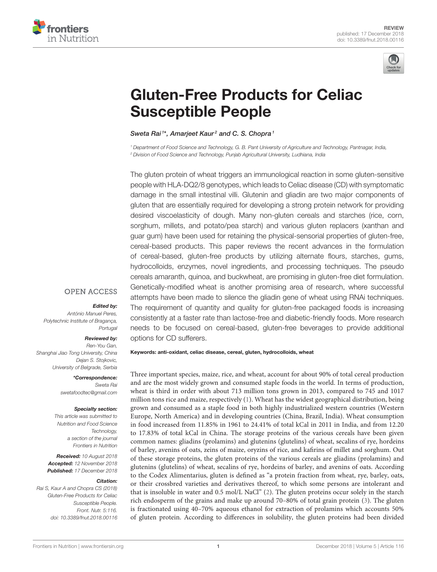



# [Gluten-Free Products for Celiac](https://www.frontiersin.org/articles/10.3389/fnut.2018.00116/full) Susceptible People

### [Sweta Rai](http://loop.frontiersin.org/people/598266/overview)<sup>1\*</sup>, Amarjeet Kaur<sup>2</sup> and C. S. Chopra<sup>1</sup>

<sup>1</sup> Department of Food Science and Technology, G. B. Pant University of Agriculture and Technology, Pantnagar, India, <sup>2</sup> Division of Food Science and Technology, Punjab Agricultural University, Ludhiana, India

The gluten protein of wheat triggers an immunological reaction in some gluten-sensitive people with HLA-DQ2/8 genotypes, which leads to Celiac disease (CD) with symptomatic damage in the small intestinal villi. Glutenin and gliadin are two major components of gluten that are essentially required for developing a strong protein network for providing desired viscoelasticity of dough. Many non-gluten cereals and starches (rice, corn, sorghum, millets, and potato/pea starch) and various gluten replacers (xanthan and guar gum) have been used for retaining the physical-sensorial properties of gluten-free, cereal-based products. This paper reviews the recent advances in the formulation of cereal-based, gluten-free products by utilizing alternate flours, starches, gums, hydrocolloids, enzymes, novel ingredients, and processing techniques. The pseudo cereals amaranth, quinoa, and buckwheat, are promising in gluten-free diet formulation. Genetically-modified wheat is another promising area of research, where successful attempts have been made to silence the gliadin gene of wheat using RNAi techniques. The requirement of quantity and quality for gluten-free packaged foods is increasing consistently at a faster rate than lactose-free and diabetic-friendly foods. More research needs to be focused on cereal-based, gluten-free beverages to provide additional options for CD sufferers.

### **OPEN ACCESS**

#### Edited by:

António Manuel Peres, Polytechnic Institute of Bragança, Portugal

#### Reviewed by:

Ren-You Gan, Shanghai Jiao Tong University, China Dejan S. Stojkovic, University of Belgrade, Serbia

> \*Correspondence: Sweta Rai [swetafoodtec@gmail.com](mailto:swetafoodtec@gmail.com)

#### Specialty section:

This article was submitted to Nutrition and Food Science Technology, a section of the journal Frontiers in Nutrition

Received: 10 August 2018 Accepted: 12 November 2018 Published: 17 December 2018

#### Citation:

Rai S, Kaur A and Chopra CS (2018) Gluten-Free Products for Celiac Susceptible People. Front. Nutr. 5:116. doi: [10.3389/fnut.2018.00116](https://doi.org/10.3389/fnut.2018.00116) Keywords: anti-oxidant, celiac disease, cereal, gluten, hydrocolloids, wheat

Three important species, maize, rice, and wheat, account for about 90% of total cereal production and are the most widely grown and consumed staple foods in the world. In terms of production, wheat is third in order with about 713 million tons grown in 2013, compared to 745 and 1017 million tons rice and maize, respectively [\(1\)](#page-18-0). Wheat has the widest geographical distribution, being grown and consumed as a staple food in both highly industrialized western countries (Western Europe, North America) and in developing countries (China, Brazil, India). Wheat consumption in food increased from 11.85% in 1961 to 24.41% of total kCal in 2011 in India, and from 12.20 to 17.83% of total kCal in China. The storage proteins of the various cereals have been given common names: gliadins (prolamins) and glutenins (glutelins) of wheat, secalins of rye, hordeins of barley, avenins of oats, zeins of maize, oryzins of rice, and kafirins of millet and sorghum. Out of these storage proteins, the gluten proteins of the various cereals are gliadins (prolamins) and glutenins (glutelins) of wheat, secalins of rye, hordeins of barley, and avenins of oats. According to the Codex Alimentarius, gluten is defined as "a protein fraction from wheat, rye, barley, oats, or their crossbred varieties and derivatives thereof, to which some persons are intolerant and that is insoluble in water and 0.5 mol/L NaCl" [\(2\)](#page-18-1). The gluten proteins occur solely in the starch rich endosperm of the grains and make up around 70–80% of total grain protein [\(3\)](#page-18-2). The gluten is fractionated using 40–70% aqueous ethanol for extraction of prolamins which accounts 50% of gluten protein. According to differences in solubility, the gluten proteins had been divided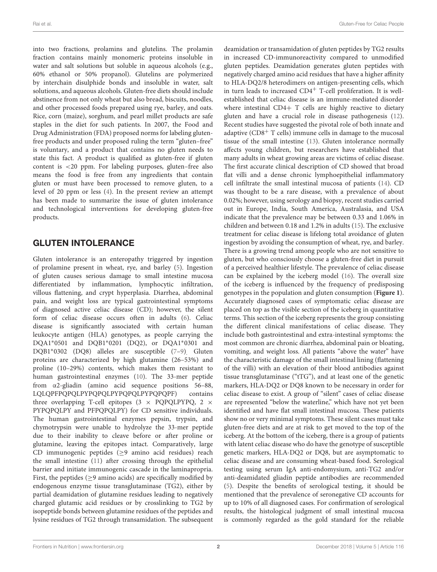into two fractions, prolamins and glutelins. The prolamin fraction contains mainly monomeric proteins insoluble in water and salt solutions but soluble in aqueous alcohols (e.g., 60% ethanol or 50% propanol). Glutelins are polymerized by interchain disulphide bonds and insoluble in water, salt solutions, and aqueous alcohols. Gluten-free diets should include abstinence from not only wheat but also bread, biscuits, noodles, and other processed foods prepared using rye, barley, and oats. Rice, corn (maize), sorghum, and pearl millet products are safe staples in the diet for such patients. In 2007, the Food and Drug Administration (FDA) proposed norms for labeling glutenfree products and under proposed ruling the term "gluten–free" is voluntary, and a product that contains no gluten needs to state this fact. A product is qualified as gluten-free if gluten content is <20 ppm. For labeling purposes, gluten–free also means the food is free from any ingredients that contain gluten or must have been processed to remove gluten, to a level of 20 ppm or less [\(4\)](#page-18-3). In the present review an attempt has been made to summarize the issue of gluten intolerance and technological interventions for developing gluten-free products.

### GLUTEN INTOLERANCE

Gluten intolerance is an enteropathy triggered by ingestion of prolamine present in wheat, rye, and barley [\(5\)](#page-18-4). Ingestion of gluten causes serious damage to small intestine mucosa differentiated by inflammation, lymphocytic infiltration, villous flattening, and crypt hyperplasia. Diarrhea, abdominal pain, and weight loss are typical gastrointestinal symptoms of diagnosed active celiac disease (CD); however, the silent form of celiac disease occurs often in adults [\(6\)](#page-18-5). Celiac disease is significantly associated with certain human leukocyte antigen (HLA) genotypes, as people carrying the DQA1<sup>∗</sup> 0501 and DQB1<sup>∗</sup> 0201 (DQ2), or DQA1<sup>∗</sup> 0301 and DQB1<sup>∗</sup> 0302 (DQ8) alleles are susceptible [\(7–](#page-18-6)[9\)](#page-18-7). Gluten proteins are characterized by high glutamine (26–53%) and proline (10–29%) contents, which makes them resistant to human gastrointestinal enzymes [\(10\)](#page-18-8). The 33-mer peptide from α2-gliadin (amino acid sequence positions 56–88, LQLQPFPQPQLPYPQPQLPYPQPQLPYPQPQPF) contains three overlapping T-cell epitopes  $(3 \times PQPQLPYPQ, 2 \times$ PYPQPQLPY and PFPQPQLPY) for CD sensitive individuals. The human gastrointestinal enzymes pepsin, trypsin, and chymotrypsin were unable to hydrolyze the 33-mer peptide due to their inability to cleave before or after proline or glutamine, leaving the epitopes intact. Comparatively, large CD immunogenic peptides (≥9 amino acid residues) reach the small intestine [\(11\)](#page-18-9) after crossing through the epithelial barrier and initiate immunogenic cascade in the laminapropria. First, the peptides ( $\geq$ 9 amino acids) are specifically modified by endogenous enzyme tissue transglutaminase (TG2), either by partial deamidation of glutamine residues leading to negatively charged glutamic acid residues or by crosslinking to TG2 by isopeptide bonds between glutamine residues of the peptides and lysine residues of TG2 through transamidation. The subsequent deamidation or transamidation of gluten peptides by TG2 results in increased CD-immunoreactivity compared to unmodified gluten peptides. Deamidation generates gluten peptides with negatively charged amino acid residues that have a higher affinity to HLA-DQ2/8 heterodimers on antigen-presenting cells, which in turn leads to increased  $CD4^+$  T-cell proliferation. It is wellestablished that celiac disease is an immune-mediated disorder where intestinal CD4+ T cells are highly reactive to dietary gluten and have a crucial role in disease pathogenesis [\(12\)](#page-18-10). Recent studies have suggested the pivotal role of both innate and adaptive ( $CD8<sup>+</sup>$  T cells) immune cells in damage to the mucosal tissue of the small intestine [\(13\)](#page-18-11). Gluten intolerance normally affects young children, but researchers have established that many adults in wheat growing areas are victims of celiac disease. The first accurate clinical description of CD showed that broad flat villi and a dense chronic lymphoepithelial inflammatory cell infiltrate the small intestinal mucosa of patients [\(14\)](#page-18-12). CD was thought to be a rare disease, with a prevalence of about 0.02%; however, using serology and biopsy, recent studies carried out in Europe, India, South America, Australasia, and USA indicate that the prevalence may be between 0.33 and 1.06% in children and between 0.18 and 1.2% in adults [\(15\)](#page-18-13). The exclusive treatment for celiac disease is lifelong total avoidance of gluten ingestion by avoiding the consumption of wheat, rye, and barley. There is a growing trend among people who are not sensitive to gluten, but who consciously choose a gluten-free diet in pursuit of a perceived healthier lifestyle. The prevalence of celiac disease can be explained by the iceberg model [\(16\)](#page-18-14). The overall size of the iceberg is influenced by the frequency of predisposing genotypes in the population and gluten consumption (**[Figure 1](#page-2-0)**). Accurately diagnosed cases of symptomatic celiac disease are placed on top as the visible section of the iceberg in quantitative terms. This section of the iceberg represents the group consisting the different clinical manifestations of celiac disease. They include both gastrointestinal and extra-intestinal symptoms: the most common are chronic diarrhea, abdominal pain or bloating, vomiting, and weight loss. All patients "above the water" have the characteristic damage of the small intestinal lining (flattening of the villi) with an elevation of their blood antibodies against tissue transglutaminase ("tTG"), and at least one of the genetic markers, HLA-DQ2 or DQ8 known to be necessary in order for celiac disease to exist. A group of "silent" cases of celiac disease are represented "below the waterline," which have not yet been identified and have flat small intestinal mucosa. These patients show no or very minimal symptoms. These silent cases must take gluten-free diets and are at risk to get moved to the top of the iceberg. At the bottom of the iceberg, there is a group of patients with latent celiac disease who do have the genotype of susceptible genetic markers, HLA-DQ2 or DQ8, but are asymptomatic to celiac disease and are consuming wheat-based food. Serological testing using serum IgA anti-endomysium, anti-TG2 and/or anti-deamidated gliadin peptide antibodies are recommended [\(5\)](#page-18-4). Despite the benefits of serological testing, it should be mentioned that the prevalence of seronegative CD accounts for up to 10% of all diagnosed cases. For confirmation of serological results, the histological judgment of small intestinal mucosa is commonly regarded as the gold standard for the reliable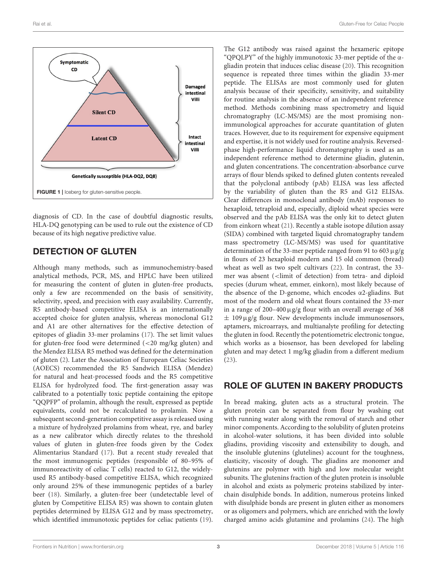

<span id="page-2-0"></span>diagnosis of CD. In the case of doubtful diagnostic results, HLA-DQ genotyping can be used to rule out the existence of CD because of its high negative predictive value.

### DETECTION OF GLUTEN

Although many methods, such as immunochemistry-based analytical methods, PCR, MS, and HPLC have been utilized for measuring the content of gluten in gluten-free products, only a few are recommended on the basis of sensitivity, selectivity, speed, and precision with easy availability. Currently, R5 antibody-based competitive ELISA is an internationally accepted choice for gluten analysis, whereas monoclonal G12 and A1 are other alternatives for the effective detection of epitopes of gliadin 33-mer prolamins [\(17\)](#page-18-15). The set limit values for gluten-free food were determined (<20 mg/kg gluten) and the Mendez ELISA R5 method was defined for the determination of gluten [\(2\)](#page-18-1). Later the Association of European Celiac Societies (AOECS) recommended the R5 Sandwich ELISA (Mendez) for natural and heat-processed foods and the R5 competitive ELISA for hydrolyzed food. The first-generation assay was calibrated to a potentially toxic peptide containing the epitope "QQPFP" of prolamin, although the result, expressed as peptide equivalents, could not be recalculated to prolamin. Now a subsequent second-generation competitive assay is released using a mixture of hydrolyzed prolamins from wheat, rye, and barley as a new calibrator which directly relates to the threshold values of gluten in gluten-free foods given by the Codex Alimentarius Standard [\(17\)](#page-18-15). But a recent study revealed that the most immunogenic peptides (responsible of 80–95% of immunoreactivity of celiac T cells) reacted to G12, the widelyused R5 antibody-based competitive ELISA, which recognized only around 25% of these immunogenic peptides of a barley beer [\(18\)](#page-18-16). Similarly, a gluten-free beer (undetectable level of gluten by Competitive ELISA R5) was shown to contain gluten peptides determined by ELISA G12 and by mass spectrometry, which identified immunotoxic peptides for celiac patients [\(19\)](#page-18-17). The G12 antibody was raised against the hexameric epitope "QPQLPY" of the highly immunotoxic 33-mer peptide of the αgliadin protein that induces celiac disease [\(20\)](#page-18-18). This recognition sequence is repeated three times within the gliadin 33-mer peptide. The ELISAs are most commonly used for gluten analysis because of their specificity, sensitivity, and suitability for routine analysis in the absence of an independent reference method. Methods combining mass spectrometry and liquid chromatography (LC-MS/MS) are the most promising nonimmunological approaches for accurate quantitation of gluten traces. However, due to its requirement for expensive equipment and expertise, it is not widely used for routine analysis. Reversedphase high-performance liquid chromatography is used as an independent reference method to determine gliadin, glutenin, and gluten concentrations. The concentration-absorbance curve arrays of flour blends spiked to defined gluten contents revealed that the polyclonal antibody (pAb) ELISA was less affected by the variability of gluten than the R5 and G12 ELISAs. Clear differences in monoclonal antibody (mAb) responses to hexaploid, tetraploid and, especially, diploid wheat species were observed and the pAb ELISA was the only kit to detect gluten from einkorn wheat [\(21\)](#page-18-19). Recently a stable isotope dilution assay (SIDA) combined with targeted liquid chromatography tandem mass spectrometry (LC-MS/MS) was used for quantitative determination of the 33-mer peptide ranged from 91 to 603  $\mu$ g/g in flours of 23 hexaploid modern and 15 old common (bread) wheat as well as two spelt cultivars [\(22\)](#page-18-20). In contrast, the 33 mer was absent (<limit of detection) from tetra- and diploid species (durum wheat, emmer, einkorn), most likely because of the absence of the D-genome, which encodes α2-gliadins. But most of the modern and old wheat flours contained the 33-mer in a range of  $200-400 \mu$ g/g flour with an overall average of 368  $\pm$  109 µg/g flour. New developments include immunosensors, aptamers, microarrays, and multianalyte profiling for detecting the gluten in food. Recently the potentiometric electronic tongue, which works as a biosensor, has been developed for labeling gluten and may detect 1 mg/kg gliadin from a different medium [\(23\)](#page-18-21).

### ROLE OF GLUTEN IN BAKERY PRODUCTS

In bread making, gluten acts as a structural protein. The gluten protein can be separated from flour by washing out with running water along with the removal of starch and other minor components. According to the solubility of gluten proteins in alcohol-water solutions, it has been divided into soluble gliadins, providing viscosity and extensibility to dough, and the insoluble glutenins (glutelines) account for the toughness, elasticity, viscosity of dough. The gliadins are monomer and glutenins are polymer with high and low molecular weight subunits. The glutenins fraction of the gluten protein is insoluble in alcohol and exists as polymeric proteins stabilized by interchain disulphide bonds. In addition, numerous proteins linked with disulphide bonds are present in gluten either as monomers or as oligomers and polymers, which are enriched with the lowly charged amino acids glutamine and prolamins [\(24\)](#page-18-22). The high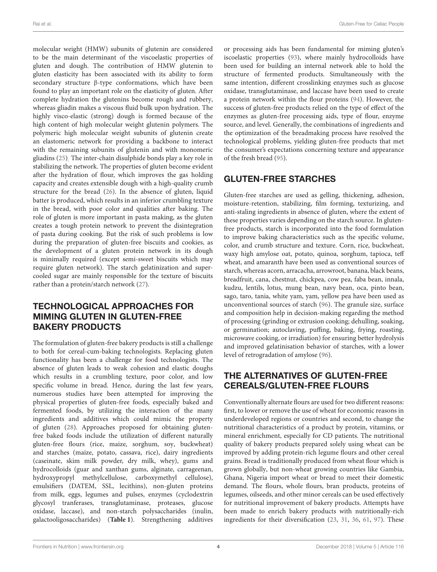molecular weight (HMW) subunits of glutenin are considered to be the main determinant of the viscoelastic properties of gluten and dough. The contribution of HMW glutenin to gluten elasticity has been associated with its ability to form secondary structure β-type conformations, which have been found to play an important role on the elasticity of gluten. After complete hydration the glutenins become rough and rubbery, whereas gliadin makes a viscous fluid bulk upon hydration. The highly visco-elastic (strong) dough is formed because of the high content of high molecular weight glutenin polymers. The polymeric high molecular weight subunits of glutenin create an elastomeric network for providing a backbone to interact with the remaining subunits of glutenin and with monomeric gliadins [\(25\)](#page-18-23). The inter-chain disulphide bonds play a key role in stabilizing the network. The properties of gluten become evident after the hydration of flour, which improves the gas holding capacity and creates extensible dough with a high-quality crumb structure for the bread [\(26\)](#page-18-24). In the absence of gluten, liquid batter is produced, which results in an inferior crumbling texture in the bread, with poor color and qualities after baking. The role of gluten is more important in pasta making, as the gluten creates a tough protein network to prevent the disintegration of pasta during cooking. But the risk of such problems is low during the preparation of gluten-free biscuits and cookies, as the development of a gluten protein network in its dough is minimally required (except semi-sweet biscuits which may require gluten network). The starch gelatinization and supercooled sugar are mainly responsible for the texture of biscuits rather than a protein/starch network [\(27\)](#page-18-25).

### TECHNOLOGICAL APPROACHES FOR MIMING GLUTEN IN GLUTEN-FREE BAKERY PRODUCTS

The formulation of gluten-free bakery products is still a challenge to both for cereal-cum-baking technologists. Replacing gluten functionality has been a challenge for food technologists. The absence of gluten leads to weak cohesion and elastic doughs which results in a crumbling texture, poor color, and low specific volume in bread. Hence, during the last few years, numerous studies have been attempted for improving the physical properties of gluten-free foods, especially baked and fermented foods, by utilizing the interaction of the many ingredients and additives which could mimic the property of gluten [\(28\)](#page-18-26). Approaches proposed for obtaining glutenfree baked foods include the utilization of different naturally gluten-free flours (rice, maize, sorghum, soy, buckwheat) and starches (maize, potato, cassava, rice), dairy ingredients (caseinate, skim milk powder, dry milk, whey), gums and hydrocolloids (guar and xanthan gums, alginate, carrageenan, hydroxypropyl methylcellulose, carboxymethyl cellulose), emulsifiers (DATEM, SSL, lecithins), non-gluten proteins from milk, eggs, legumes and pulses, enzymes (cyclodextrin glycosyl tranferases, transglutaminase, proteases, glucose oxidase, laccase), and non-starch polysaccharides (inulin, galactooligosaccharides) (**[Table 1](#page-4-0)**). Strengthening additives or processing aids has been fundamental for miming gluten's iscoelastic properties [\(93\)](#page-20-0), where mainly hydrocolloids have been used for building an internal network able to hold the structure of fermented products. Simultaneously with the same intention, different crosslinking enzymes such as glucose oxidase, transglutaminase, and laccase have been used to create a protein network within the flour proteins [\(94\)](#page-20-1). However, the success of gluten-free products relied on the type of effect of the enzymes as gluten-free processing aids, type of flour, enzyme source, and level. Generally, the combinations of ingredients and the optimization of the breadmaking process have resolved the technological problems, yielding gluten-free products that met the consumer's expectations concerning texture and appearance of the fresh bread [\(95\)](#page-20-2).

# GLUTEN-FREE STARCHES

Gluten-free starches are used as gelling, thickening, adhesion, moisture-retention, stabilizing, film forming, texturizing, and anti-staling ingredients in absence of gluten, where the extent of these properties varies depending on the starch source. In glutenfree products, starch is incorporated into the food formulation to improve baking characteristics such as the specific volume, color, and crumb structure and texture. Corn, rice, buckwheat, waxy high amylose oat, potato, quinoa, sorghum, tapioca, teff wheat, and amaranth have been used as conventional sources of starch, whereas acorn, arracacha, arrowroot, banana, black beans, breadfruit, cana, chestnut, chickpea, cow pea, faba bean, innala, kudzu, lentils, lotus, mung bean, navy bean, oca, pinto bean, sago, taro, tania, white yam, yam, yellow pea have been used as unconventional sources of starch [\(96\)](#page-20-3). The granule size, surface and composition help in decision-making regarding the method of processing (grinding or extrusion cooking; dehulling, soaking, or germination; autoclaving, puffing, baking, frying, roasting, microwave cooking, or irradiation) for ensuring better hydrolysis and improved gelatinisation behavior of starches, with a lower level of retrogradation of amylose [\(96\)](#page-20-3).

# THE ALTERNATIVES OF GLUTEN-FREE CEREALS/GLUTEN-FREE FLOURS

Conventionally alternate flours are used for two different reasons: first, to lower or remove the use of wheat for economic reasons in underdeveloped regions or countries and second, to change the nutritional characteristics of a product by protein, vitamins, or mineral enrichment, especially for CD patients. The nutritional quality of bakery products prepared solely using wheat can be improved by adding protein-rich legume flours and other cereal grains. Bread is traditionally produced from wheat flour which is grown globally, but non-wheat growing countries like Gambia, Ghana, Nigeria import wheat or bread to meet their domestic demand. The flours, whole flours, bran products, proteins of legumes, oilseeds, and other minor cereals can be used effectively for nutritional improvement of bakery products. Attempts have been made to enrich bakery products with nutritionally-rich ingredients for their diversification [\(23,](#page-18-21) [31,](#page-18-27) [36,](#page-18-28) [61,](#page-19-0) [97\)](#page-20-4). These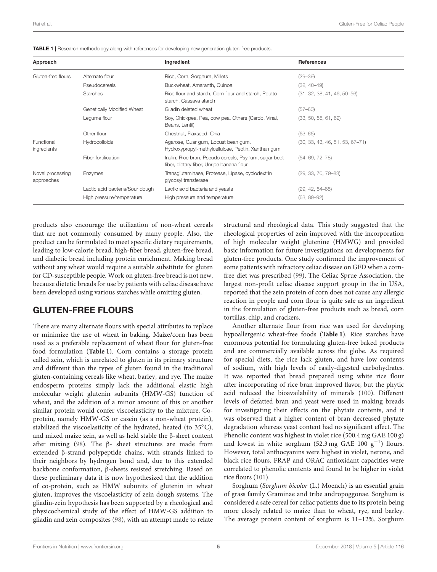| Approach                       |                                 | Ingredient                                                                                           | <b>References</b>                 |
|--------------------------------|---------------------------------|------------------------------------------------------------------------------------------------------|-----------------------------------|
| Gluten-free flours             | Alternate flour                 | Rice, Corn, Sorghum, Millets                                                                         | $(29 - 39)$                       |
|                                | Pseudocereals                   | Buckwheat, Amaranth, Quinoa                                                                          | $(32, 40 - 49)$                   |
|                                | <b>Starches</b>                 | Rice flour and starch, Corn flour and starch, Potato<br>starch, Cassava starch                       | $(31, 32, 38, 41, 46, 50 - 56)$   |
|                                | Genetically Modified Wheat      | Gliadin deleted wheat                                                                                | $(57 - 60)$                       |
|                                | Legume flour                    | Soy, Chickpea, Pea, cow pea, Others (Carob, Vinal,<br>Beans, Lentil)                                 | (33, 50, 55, 61, 62)              |
|                                | Other flour                     | Chestnut, Flaxseed, Chia                                                                             | $(63 - 66)$                       |
| Functional<br>ingredients      | Hydrocolloids                   | Agarose, Guar gum, Locust bean gum,<br>Hydroxypropyl-methylcellulose, Pectin, Xanthan gum            | $(30, 33, 43, 46, 51, 53, 67-71)$ |
|                                | Fiber fortification             | Inulin, Rice bran, Pseudo cereals, Psyllium, sugar beet<br>fiber, dietary fiber, Unripe banana flour | $(54, 69, 72 - 78)$               |
| Novel processing<br>approaches | Enzymes                         | Transglutaminase, Protease, Lipase, cyclodextrin<br>glycosyl transferase                             | $(29, 33, 70, 79 - 83)$           |
|                                | Lactic acid bacteria/Sour dough | Lactic acid bacteria and yeasts                                                                      | $(29, 42, 84 - 88)$               |
|                                | High pressure/temperature       | High pressure and temperature                                                                        | $(63, 89 - 92)$                   |

<span id="page-4-0"></span>TABLE 1 | Research methodology along with references for developing new generation gluten-free products.

products also encourage the utilization of non-wheat cereals that are not commonly consumed by many people. Also, the product can be formulated to meet specific dietary requirements, leading to low-calorie bread, high-fiber bread, gluten-free bread, and diabetic bread including protein enrichment. Making bread without any wheat would require a suitable substitute for gluten for CD-susceptible people. Work on gluten-free bread is not new, because dietetic breads for use by patients with celiac disease have been developed using various starches while omitting gluten.

### GLUTEN-FREE FLOURS

There are many alternate flours with special attributes to replace or minimize the use of wheat in baking. Maize/corn has been used as a preferable replacement of wheat flour for gluten-free food formulation (**[Table 1](#page-4-0)**). Corn contains a storage protein called zein, which is unrelated to gluten in its primary structure and different than the types of gluten found in the traditional gluten-containing cereals like wheat, barley, and rye. The maize endosperm proteins simply lack the additional elastic high molecular weight glutenin subunits (HMW-GS) function of wheat, and the addition of a minor amount of this or another similar protein would confer viscoelasticity to the mixture. Coprotein, namely HMW-GS or casein (as a non-wheat protein), stabilized the viscoelasticity of the hydrated, heated (to 35◦C), and mixed maize zein, as well as held stable the β-sheet content after mixing [\(98\)](#page-20-12). The β- sheet structures are made from extended β-strand polypeptide chains, with strands linked to their neighbors by hydrogen bond and, due to this extended backbone conformation, β-sheets resisted stretching. Based on these preliminary data it is now hypothesized that the addition of co-protein, such as HMW subunits of glutenin in wheat gluten, improves the viscoelasticity of zein dough systems. The gliadin-zein hypothesis has been supported by a rheological and physicochemical study of the effect of HMW-GS addition to gliadin and zein composites [\(98\)](#page-20-12), with an attempt made to relate structural and rheological data. This study suggested that the rheological properties of zein improved with the incorporation of high molecular weight glutenine (HMWG) and provided basic information for future investigations on developments for gluten-free products. One study confirmed the improvement of some patients with refractory celiac disease on GFD when a cornfree diet was prescribed [\(99\)](#page-20-13). The Celiac Sprue Association, the largest non-profit celiac disease support group in the in USA, reported that the zein protein of corn does not cause any allergic reaction in people and corn flour is quite safe as an ingredient in the formulation of gluten-free products such as bread, corn tortillas, chip, and crackers.

Another alternate flour from rice was used for developing hypoallergenic wheat-free foods (**[Table 1](#page-4-0)**). Rice starches have enormous potential for formulating gluten-free baked products and are commercially available across the globe. As required for special diets, the rice lack gluten, and have low contents of sodium, with high levels of easily-digested carbohydrates. It was reported that bread prepared using white rice flour after incorporating of rice bran improved flavor, but the phytic acid reduced the bioavailability of minerals [\(100\)](#page-20-14). Different levels of defatted bran and yeast were used in making breads for investigating their effects on the phytate contents, and it was observed that a higher content of bran decreased phytate degradation whereas yeast content had no significant effect. The Phenolic content was highest in violet rice (500.4 mg GAE 100 g) and lowest in white sorghum (52.3 mg GAE 100  $g^{-1}$ ) flours. However, total anthocyanins were highest in violet, nerone, and black rice flours. FRAP and ORAC antioxidant capacities were correlated to phenolic contents and found to be higher in violet rice flours [\(101\)](#page-20-15).

Sorghum (Sorghum bicolor (L.) Moench) is an essential grain of grass family Graminae and tribe andropoggonae. Sorghum is considered a safe cereal for celiac patients due to its protein being more closely related to maize than to wheat, rye, and barley. The average protein content of sorghum is 11–12%. Sorghum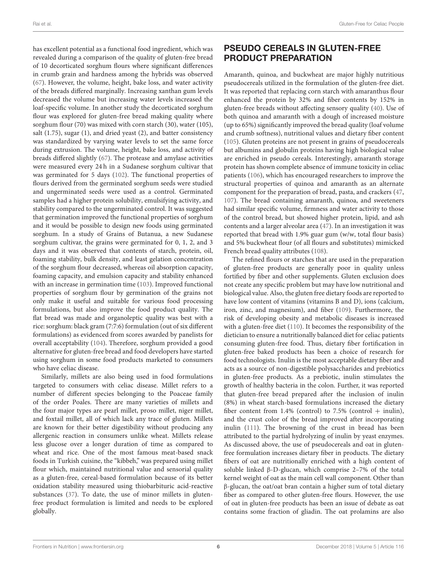has excellent potential as a functional food ingredient, which was revealed during a comparison of the quality of gluten-free bread of 10 decorticated sorghum flours where significant differences in crumb grain and hardness among the hybrids was observed [\(67\)](#page-19-18). However, the volume, height, bake loss, and water activity of the breads differed marginally. Increasing xanthan gum levels decreased the volume but increasing water levels increased the loaf-specific volume. In another study the decorticated sorghum flour was explored for gluten-free bread making quality where sorghum flour (70) was mixed with corn starch (30), water (105), salt (1.75), sugar (1), and dried yeast (2), and batter consistency was standardized by varying water levels to set the same force during extrusion. The volume, height, bake loss, and activity of breads differed slightly [\(67\)](#page-19-18). The protease and amylase activities were measured every 24 h in a Sudanese sorghum cultivar that was germinated for 5 days [\(102\)](#page-20-16). The functional properties of flours derived from the germinated sorghum seeds were studied and ungerminated seeds were used as a control. Germinated samples had a higher protein solubility, emulsifying activity, and stability compared to the ungerminated control. It was suggested that germination improved the functional properties of sorghum and it would be possible to design new foods using germinated sorghum. In a study of Grains of Butanua, a new Sudanese sorghum cultivar, the grains were germinated for 0, 1, 2, and 3 days and it was observed that contents of starch, protein, oil, foaming stability, bulk density, and least gelation concentration of the sorghum flour decreased, whereas oil absorption capacity, foaming capacity, and emulsion capacity and stability enhanced with an increase in germination time [\(103\)](#page-20-17). Improved functional properties of sorghum flour by germination of the grains not only make it useful and suitable for various food processing formulations, but also improve the food product quality. The flat bread was made and organoleptic quality was best with a rice: sorghum: black gram (7:7:6) formulation (out of six different formulations) as evidenced from scores awarded by panelists for overall acceptability [\(104\)](#page-20-18). Therefore, sorghum provided a good alternative for gluten-free bread and food developers have started using sorghum in some food products marketed to consumers who have celiac disease.

Similarly, millets are also being used in food formulations targeted to consumers with celiac disease. Millet refers to a number of different species belonging to the Poaceae family of the order Poales. There are many varieties of millets and the four major types are pearl millet, proso millet, niger millet, and foxtail millet, all of which lack any trace of gluten. Millets are known for their better digestibility without producing any allergenic reaction in consumers unlike wheat. Millets release less glucose over a longer duration of time as compared to wheat and rice. One of the most famous meat-based snack foods in Turkish cuisine, the "kibbeh," was prepared using millet flour which, maintained nutritional value and sensorial quality as a gluten-free, cereal-based formulation because of its better oxidation stability measured using thiobarbituric acid-reactive substances [\(37\)](#page-19-25). To date, the use of minor millets in glutenfree product formulation is limited and needs to be explored globally.

# PSEUDO CEREALS IN GLUTEN-FREE PRODUCT PREPARATION

Amaranth, quinoa, and buckwheat are major highly nutritious pseudocereals utilized in the formulation of the gluten-free diet. It was reported that replacing corn starch with amaranthus flour enhanced the protein by 32% and fiber contents by 152% in gluten-free breads without affecting sensory quality [\(40\)](#page-19-2). Use of both quinoa and amaranth with a dough of increased moisture (up to 65%) significantly improved the bread quality (loaf volume and crumb softness), nutritional values and dietary fiber content [\(105\)](#page-20-19). Gluten proteins are not present in grains of pseudocereals but albumins and globulin proteins having high biological value are enriched in pseudo cereals. Interestingly, amaranth storage protein has shown complete absence of immune toxicity in celiac patients [\(106\)](#page-20-20), which has encouraged researchers to improve the structural properties of quinoa and amaranth as an alternate component for the preparation of bread, pasta, and crackers [\(47,](#page-19-26) [107\)](#page-20-21). The bread containing amaranth, quinoa, and sweeteners had similar specific volume, firmness and water activity to those of the control bread, but showed higher protein, lipid, and ash contents and a larger alveolar area [\(47\)](#page-19-26). In an investigation it was reported that bread with 1.9% guar gum (w/w, total flour basis) and 5% buckwheat flour (of all flours and substitutes) mimicked French bread quality attributes [\(108\)](#page-20-22).

The refined flours or starches that are used in the preparation of gluten-free products are generally poor in quality unless fortified by fiber and other supplements. Gluten exclusion does not create any specific problem but may have low nutritional and biological value. Also, the gluten free dietary foods are reported to have low content of vitamins (vitamins B and D), ions (calcium, iron, zinc, and magnesium), and fiber [\(109\)](#page-20-23). Furthermore, the risk of developing obesity and metabolic diseases is increased with a gluten-free diet [\(110\)](#page-20-24). It becomes the responsibility of the dietician to ensure a nutritionally balanced diet for celiac patients consuming gluten-free food. Thus, dietary fiber fortification in gluten-free baked products has been a choice of research for food technologists. Inulin is the most acceptable dietary fiber and acts as a source of non-digestible polysaccharides and prebiotics in gluten-free products. As a prebiotic, inulin stimulates the growth of healthy bacteria in the colon. Further, it was reported that gluten-free bread prepared after the inclusion of inulin (8%) in wheat starch-based formulations increased the dietary fiber content from 1.4% (control) to 7.5% (control  $+$  inulin), and the crust color of the bread improved after incorporating inulin [\(111\)](#page-20-25). The browning of the crust in bread has been attributed to the partial hydrolyzing of inulin by yeast enzymes. As discussed above, the use of pseudocereals and oat in glutenfree formulation increases dietary fiber in products. The dietary fibers of oat are nutritionally enriched with a high content of soluble linked β-D-glucan, which comprise 2–7% of the total kernel weight of oat as the main cell wall component. Other than β-glucan, the oat/oat bran contain a higher sum of total dietary fiber as compared to other gluten-free flours. However, the use of oat in gluten-free products has been an issue of debate as oat contains some fraction of gliadin. The oat prolamins are also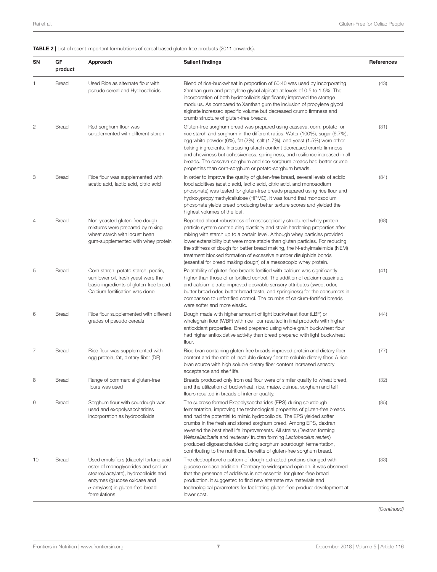<span id="page-6-0"></span>TABLE 2 | List of recent important formulations of cereal based gluten-free products (2011 onwards).

| <b>SN</b>      | GF<br>product | Approach                                                                                                                                                                                                           | <b>Salient findings</b>                                                                                                                                                                                                                                                                                                                                                                                                                                                                                                                                                                  | <b>References</b> |
|----------------|---------------|--------------------------------------------------------------------------------------------------------------------------------------------------------------------------------------------------------------------|------------------------------------------------------------------------------------------------------------------------------------------------------------------------------------------------------------------------------------------------------------------------------------------------------------------------------------------------------------------------------------------------------------------------------------------------------------------------------------------------------------------------------------------------------------------------------------------|-------------------|
| 1              | <b>Bread</b>  | Used Rice as alternate flour with<br>pseudo cereal and Hydrocolloids                                                                                                                                               | Blend of rice-buckwheat in proportion of 60:40 was used by incorporating<br>Xanthan gum and propylene glycol alginate at levels of 0.5 to 1.5%. The<br>incorporation of both hydrocolloids significantly improved the storage<br>modulus. As compared to Xanthan gum the inclusion of propylene glycol<br>alginate increased specific volume but decreased crumb firmness and<br>crumb structure of gluten-free breads.                                                                                                                                                                  | (43)              |
| $\overline{c}$ | <b>Bread</b>  | Red sorghum flour was<br>supplemented with different starch                                                                                                                                                        | Gluten-free sorghum bread was prepared using cassava, corn, potato, or<br>rice starch and sorghum in the different ratios. Water (100%), sugar (6.7%),<br>egg white powder (6%), fat (2%), salt (1.7%), and yeast (1.5%) were other<br>baking ingredients. Increasing starch content decreased crumb firmness<br>and chewiness but cohesiveness, springiness, and resilience increased in all<br>breads. The cassava-sorghum and rice-sorghum breads had better crumb<br>properties than corn-sorghum or potato-sorghum breads.                                                          | (31)              |
| 3              | <b>Bread</b>  | Rice flour was supplemented with<br>acetic acid, lactic acid, citric acid                                                                                                                                          | In order to improve the quality of gluten-free bread, several levels of acidic<br>food additives (acetic acid, lactic acid, citric acid, and monosodium<br>phosphate) was tested for gluten-free breads prepared using rice flour and<br>hydroxypropylmethylcellulose (HPMC). It was found that monosodium<br>phosphate yields bread producing better texture scores and yielded the<br>highest volumes of the loaf.                                                                                                                                                                     | (84)              |
| 4              | <b>Bread</b>  | Non-yeasted gluten-free dough<br>mixtures were prepared by mixing<br>wheat starch with locust bean<br>gum-supplemented with whey protein                                                                           | Reported about robustness of mesoscopically structured whey protein<br>particle system contributing elasticity and strain hardening properties after<br>mixing with starch up to a certain level. Although whey particles provided<br>lower extensibility but were more stable than gluten particles. For reducing<br>the stiffness of dough for better bread making, the N-ethylmaleimide (NEM)<br>treatment blocked formation of excessive number disulphide bonds<br>(essential for bread making dough) of a mesoscopic whey protein.                                                 | (68)              |
| 5              | <b>Bread</b>  | Corn starch, potato starch, pectin,<br>sunflower oil, fresh yeast were the<br>basic ingredients of gluten-free bread.<br>Calcium fortification was done                                                            | Palatability of gluten-free breads fortified with calcium was significantly<br>higher than those of unfortified control. The addition of calcium caseinate<br>and calcium citrate improved desirable sensory attributes (sweet odor,<br>butter bread odor, butter bread taste, and springiness) for the consumers in<br>comparison to unfortified control. The crumbs of calcium-fortified breads<br>were softer and more elastic.                                                                                                                                                       | (41)              |
| 6              | <b>Bread</b>  | Rice flour supplemented with different<br>grades of pseudo cereals                                                                                                                                                 | Dough made with higher amount of light buckwheat flour (LBF) or<br>wholegrain flour (WBF) with rice flour resulted in final products with higher<br>antioxidant properties. Bread prepared using whole grain buckwheat flour<br>had higher antioxidative activity than bread prepared with light buckwheat<br>flour.                                                                                                                                                                                                                                                                     | (44)              |
| $\overline{7}$ | <b>Bread</b>  | Rice flour was supplemented with<br>egg protein, fat, dietary fiber (DF)                                                                                                                                           | Rice bran containing gluten-free breads improved protein and dietary fiber<br>content and the ratio of insoluble dietary fiber to soluble dietary fiber. A rice<br>bran source with high soluble dietary fiber content increased sensory<br>acceptance and shelf life.                                                                                                                                                                                                                                                                                                                   | (77)              |
| 8              | <b>Bread</b>  | Range of commercial gluten-free<br>flours was used                                                                                                                                                                 | Breads produced only from oat flour were of similar quality to wheat bread,<br>and the utilization of buckwheat, rice, maize, quinoa, sorghum and teff<br>flours resulted in breads of inferior quality.                                                                                                                                                                                                                                                                                                                                                                                 | (32)              |
| 9              | <b>Bread</b>  | Sorghum flour with sourdough was<br>used and exopolysaccharides<br>incorporation as hydrocolloids                                                                                                                  | The sucrose formed Exopolysaccharides (EPS) during sourdough<br>fermentation, improving the technological properties of gluten-free breads<br>and had the potential to mimic hydrocolloids. The EPS yielded softer<br>crumbs in the fresh and stored sorghum bread. Among EPS, dextran<br>revealed the best shelf life improvements. All strains (Dextran forming<br>Weissellacibaria and reuteran/ fructan forming Lactobacillus reuteri)<br>produced oligosaccharides during sorghum sourdough fermentation,<br>contributing to the nutritional benefits of gluten-free sorghum bread. | (85)              |
| 10             | <b>Bread</b>  | Used emulsifiers (diacetyl tartaric acid<br>ester of monoglycerides and sodium<br>stearoyllactylate), hydrocolloids and<br>enzymes (glucose oxidase and<br>$\alpha$ -amylase) in gluten-free bread<br>formulations | The electrophoretic pattern of dough extracted proteins changed with<br>glucose oxidase addition. Contrary to widespread opinion, it was observed<br>that the presence of additives is not essential for gluten-free bread<br>production. It suggested to find new alternate raw materials and<br>technological parameters for facilitating gluten-free product development at<br>lower cost.                                                                                                                                                                                            | (33)              |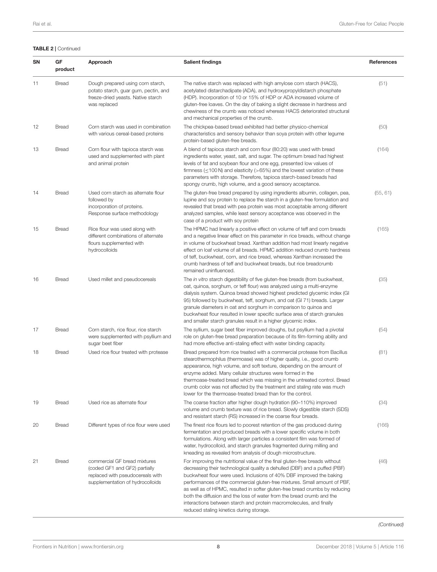### TABLE 2 | Continued

| SN | GF<br>product | Approach                                                                                                                              | <b>Salient findings</b>                                                                                                                                                                                                                                                                                                                                                                                                                                                                                                                                                                   | References |
|----|---------------|---------------------------------------------------------------------------------------------------------------------------------------|-------------------------------------------------------------------------------------------------------------------------------------------------------------------------------------------------------------------------------------------------------------------------------------------------------------------------------------------------------------------------------------------------------------------------------------------------------------------------------------------------------------------------------------------------------------------------------------------|------------|
| 11 | <b>Bread</b>  | Dough prepared using corn starch,<br>potato starch, guar gum, pectin, and<br>freeze-dried yeasts. Native starch<br>was replaced       | The native starch was replaced with high amylose corn starch (HACS),<br>acetylated distarchadipate (ADA), and hydroxypropyldistarch phosphate<br>(HDP). Incorporation of 10 or 15% of HDP or ADA increased volume of<br>gluten-free loaves. On the day of baking a slight decrease in hardness and<br>chewiness of the crumb was noticed whereas HACS deteriorated structural<br>and mechanical properties of the crumb.                                                                                                                                                                  | (51)       |
| 12 | <b>Bread</b>  | Corn starch was used in combination<br>with various cereal-based proteins                                                             | The chickpea-based bread exhibited had better physico-chemical<br>characteristics and sensory behavior than soya protein with other legume<br>protein-based gluten-free breads.                                                                                                                                                                                                                                                                                                                                                                                                           | (50)       |
| 13 | <b>Bread</b>  | Corn flour with tapioca starch was<br>used and supplemented with plant<br>and animal protein                                          | A blend of tapioca starch and corn flour (80:20) was used with bread<br>ingredients water, yeast, salt, and sugar. The optimum bread had highest<br>levels of fat and soybean flour and one egg, presented low values of<br>firmness ( $\leq$ 100 N) and elasticity ( $>$ 65%) and the lowest variation of these<br>parameters with storage. Therefore, tapioca starch-based breads had<br>spongy crumb, high volume, and a good sensory acceptance.                                                                                                                                      | (164)      |
| 14 | <b>Bread</b>  | Used corn starch as alternate flour<br>followed by<br>incorporation of proteins.<br>Response surface methodology                      | The gluten-free bread prepared by using ingredients albumin, collagen, pea,<br>lupine and soy protein to replace the starch in a gluten-free formulation and<br>revealed that bread with pea protein was most acceptable among different<br>analyzed samples, while least sensory acceptance was observed in the<br>case of a product with soy protein                                                                                                                                                                                                                                    | (55, 61)   |
| 15 | <b>Bread</b>  | Rice flour was used along with<br>different combinations of alternate<br>flours supplemented with<br>hydrocolloids                    | The HPMC had linearly a positive effect on volume of teff and corn breads<br>and a negative linear effect on this parameter in rice breads, without change<br>in volume of buckwheat bread. Xanthan addition had most linearly negative<br>effect on loaf volume of all breads. HPMC addition reduced crumb hardness<br>of teff, buckwheat, corn, and rice bread, whereas Xanthan increased the<br>crumb hardness of teff and buckwheat breads, but rice breadcrumb<br>remained uninfluenced.                                                                                             | (165)      |
| 16 | <b>Bread</b>  | Used millet and pseudocereals                                                                                                         | The in vitro starch digestibility of five gluten-free breads (from buckwheat,<br>oat, quinoa, sorghum, or teff flour) was analyzed using a multi-enzyme<br>dialysis system. Quinoa bread showed highest predicted glycemic index (GI<br>95) followed by buckwheat, teff, sorghum, and oat (GI 71) breads. Larger<br>granule diameters in oat and sorghum in comparison to quinoa and<br>buckwheat flour resulted in lower specific surface area of starch granules<br>and smaller starch granules result in a higher glycemic index.                                                      | (35)       |
| 17 | <b>Bread</b>  | Corn starch, rice flour, rice starch<br>were supplemented with psyllium and<br>sugar beet fiber                                       | The syllium, sugar beet fiber improved doughs, but psyllium had a pivotal<br>role on gluten-free bread preparation because of its film-forming ability and<br>had more effective anti-staling effect with water binding capacity.                                                                                                                                                                                                                                                                                                                                                         | (54)       |
| 18 | <b>Bread</b>  | Used rice flour treated with protease                                                                                                 | Bread prepared from rice treated with a commercial protease from Bacillus<br>stearothermophilus (thermoase) was of higher quality, i.e., good crumb<br>appearance, high volume, and soft texture, depending on the amount of<br>enzyme added. Many cellular structures were formed in the<br>thermoase-treated bread which was missing in the untreated control. Bread<br>crumb color was not affected by the treatment and staling rate was much<br>lower for the thermoase-treated bread than for the control.                                                                          | (81)       |
| 19 | <b>Bread</b>  | Used rice as alternate flour                                                                                                          | The coarse fraction after higher dough hydration (90-110%) improved<br>volume and crumb texture was of rice bread. Slowly digestible starch (SDS)<br>and resistant starch (RS) increased in the coarse flour breads.                                                                                                                                                                                                                                                                                                                                                                      | (34)       |
| 20 | <b>Bread</b>  | Different types of rice flour were used                                                                                               | The finest rice flours led to poorest retention of the gas produced during<br>fermentation and produced breads with a lower specific volume in both<br>formulations. Along with larger particles a consistent film was formed of<br>water, hydrocolloid, and starch granules fragmented during milling and<br>kneading as revealed from analysis of dough microstructure.                                                                                                                                                                                                                 | (166)      |
| 21 | <b>Bread</b>  | commercial GF bread mixtures<br>(coded GF1 and GF2) partially<br>replaced with pseudocereals with<br>supplementation of hydrocolloids | For improving the nutritional value of the final gluten-free breads without<br>decreasing their technological quality a dehulled (DBF) and a puffed (PBF)<br>buckwheat flour were used. Inclusions of 40% DBF improved the baking<br>performances of the commercial gluten-free mixtures. Small amount of PBF,<br>as well as of HPMC, resulted in softer gluten-free bread crumbs by reducing<br>both the diffusion and the loss of water from the bread crumb and the<br>interactions between starch and protein macromolecules, and finally<br>reduced staling kinetics during storage. | (46)       |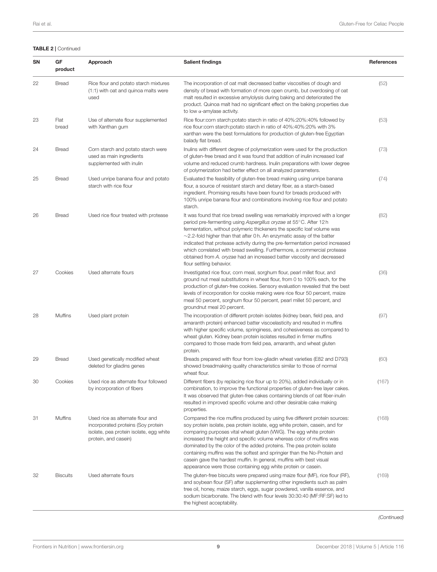### TABLE 2 | Continued

| SΝ | GF<br>product   | Approach                                                                                                                                  | <b>Salient findings</b>                                                                                                                                                                                                                                                                                                                                                                                                                                                                                                                                                                                  | References |
|----|-----------------|-------------------------------------------------------------------------------------------------------------------------------------------|----------------------------------------------------------------------------------------------------------------------------------------------------------------------------------------------------------------------------------------------------------------------------------------------------------------------------------------------------------------------------------------------------------------------------------------------------------------------------------------------------------------------------------------------------------------------------------------------------------|------------|
| 22 | <b>Bread</b>    | Rice flour and potato starch mixtures<br>(1:1) with oat and quinoa malts were<br>used                                                     | The incorporation of oat malt decreased batter viscosities of dough and<br>density of bread with formation of more open crumb, but overdosing of oat<br>malt resulted in excessive amylolysis during baking and deteriorated the<br>product. Quinoa malt had no significant effect on the baking properties due<br>to low $\alpha$ -amylase activity.                                                                                                                                                                                                                                                    | (52)       |
| 23 | Flat<br>bread   | Use of alternate flour supplemented<br>with Xanthan gum                                                                                   | Rice flour:corn starch:potato starch in ratio of 40%:20%:40% followed by<br>rice flour:corn starch:potato starch in ratio of 40%:40%:20% with 3%<br>xanthan were the best formulations for production of gluten-free Egyptian<br>balady flat bread.                                                                                                                                                                                                                                                                                                                                                      | (53)       |
| 24 | <b>Bread</b>    | Corn starch and potato starch were<br>used as main ingredients<br>supplemented with inulin                                                | Inulins with different degree of polymerization were used for the production<br>of gluten-free bread and it was found that addition of inulin increased loaf<br>volume and reduced crumb hardness. Inulin preparations with lower degree<br>of polymerization had better effect on all analyzed parameters.                                                                                                                                                                                                                                                                                              | (73)       |
| 25 | <b>Bread</b>    | Used unripe banana flour and potato<br>starch with rice flour                                                                             | Evaluated the feasibility of gluten-free bread making using unripe banana<br>flour, a source of resistant starch and dietary fiber, as a starch-based<br>ingredient. Promising results have been found for breads produced with<br>100% unripe banana flour and combinations involving rice flour and potato<br>starch.                                                                                                                                                                                                                                                                                  | (74)       |
| 26 | <b>Bread</b>    | Used rice flour treated with protease                                                                                                     | It was found that rice bread swelling was remarkably improved with a longer<br>period pre-fermenting using Aspergillus oryzae at 55°C. After 12 h<br>fermentation, without polymeric thickeners the specific loaf volume was<br>$\sim$ 2.2-fold higher than that after 0 h. An enzymatic assay of the batter<br>indicated that protease activity during the pre-fermentation period increased<br>which correlated with bread swelling. Furthermore, a commercial protease<br>obtained from A. oryzae had an increased batter viscosity and decreased<br>flour settling behavior.                         | (82)       |
| 27 | Cookies         | Used alternate flours                                                                                                                     | Investigated rice flour, corn meal, sorghum flour, pearl millet flour, and<br>ground nut meal substitutions in wheat flour, from 0 to 100% each, for the<br>production of gluten-free cookies. Sensory evaluation revealed that the best<br>levels of incorporation for cookie making were rice flour 50 percent, maize<br>meal 50 percent, sorghum flour 50 percent, pearl millet 50 percent, and<br>groundnut meal 20 percent.                                                                                                                                                                         | (36)       |
| 28 | <b>Muffins</b>  | Used plant protein                                                                                                                        | The incorporation of different protein isolates (kidney bean, field pea, and<br>amaranth protein) enhanced batter viscoelasticity and resulted in muffins<br>with higher specific volume, springiness, and cohesiveness as compared to<br>wheat gluten. Kidney bean protein isolates resulted in firmer muffins<br>compared to those made from field pea, amaranth, and wheat gluten<br>protein.                                                                                                                                                                                                         | (97)       |
| 29 | <b>Bread</b>    | Used genetically modified wheat<br>deleted for gliadins genes                                                                             | Breads prepared with flour from low-gliadin wheat varieties (E82 and D793)<br>showed breadmaking quality characteristics similar to those of normal<br>wheat flour.                                                                                                                                                                                                                                                                                                                                                                                                                                      | (60)       |
| 30 | Cookies         | Used rice as alternate flour followed<br>by incorporation of fibers                                                                       | Different fibers (by replacing rice flour up to 20%), added individually or in<br>combination, to improve the functional properties of gluten-free layer cakes.<br>It was observed that gluten-free cakes containing blends of oat fiber-inulin<br>resulted in improved specific volume and other desirable cake making<br>properties.                                                                                                                                                                                                                                                                   | (167)      |
| 31 | <b>Muffins</b>  | Used rice as alternate flour and<br>incorporated proteins (Soy protein<br>isolate, pea protein isolate, egg white<br>protein, and casein) | Compared the rice muffins produced by using five different protein sources:<br>soy protein isolate, pea protein isolate, egg white protein, casein, and for<br>comparing purposes vital wheat gluten (VWG). The egg white protein<br>increased the height and specific volume whereas color of muffins was<br>dominated by the color of the added proteins. The pea protein isolate<br>containing muffins was the softest and springier than the No-Protein and<br>casein gave the hardest muffin. In general, muffins with best visual<br>appearance were those containing egg white protein or casein. | (168)      |
| 32 | <b>Biscuits</b> | Used alternate flours                                                                                                                     | The gluten-free biscuits were prepared using maize flour (MF), rice flour (RF),<br>and soybean flour (SF) after supplementing other ingredients such as palm<br>tree oil, honey, maize starch, eggs, sugar powdered, vanilla essence, and<br>sodium bicarbonate. The blend with flour levels 30:30:40 (MF:RF:SF) led to<br>the highest acceptability.                                                                                                                                                                                                                                                    | (169)      |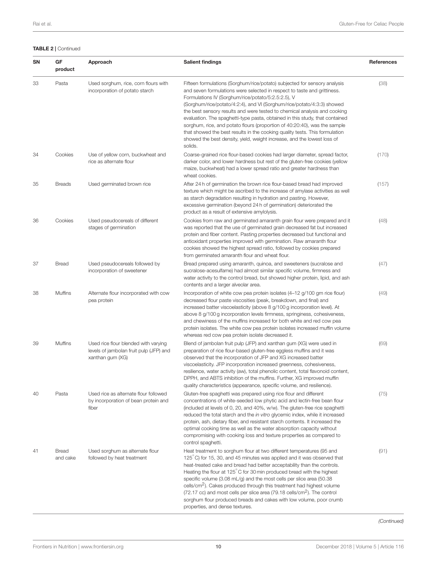TABLE 2 | Continued

| SN | GF<br>product            | Approach                                                                                            | <b>Salient findings</b>                                                                                                                                                                                                                                                                                                                                                                                                                                                                                                                                                                                                                                                                              | References |
|----|--------------------------|-----------------------------------------------------------------------------------------------------|------------------------------------------------------------------------------------------------------------------------------------------------------------------------------------------------------------------------------------------------------------------------------------------------------------------------------------------------------------------------------------------------------------------------------------------------------------------------------------------------------------------------------------------------------------------------------------------------------------------------------------------------------------------------------------------------------|------------|
| 33 | Pasta                    | Used sorghum, rice, corn flours with<br>incorporation of potato starch                              | Fifteen formulations (Sorghum/rice/potato) subjected for sensory analysis<br>and seven formulations were selected in respect to taste and grittiness.<br>Formulations IV (Sorghum/rice/potato/5:2.5:2.5), V<br>(Sorghum/rice/potato/4:2:4), and VI (Sorghum/rice/potato/4:3:3) showed<br>the best sensory results and were tested to chemical analysis and cooking<br>evaluation. The spaghetti-type pasta, obtained in this study, that contained<br>sorghum, rice, and potato flours (proportion of 40:20:40), was the sample<br>that showed the best results in the cooking quality tests. This formulation<br>showed the best density, yield, weight increase, and the lowest loss of<br>solids. | (38)       |
| 34 | Cookies                  | Use of yellow corn, buckwheat and<br>rice as alternate flour                                        | Coarse-grained rice flour-based cookies had larger diameter, spread factor,<br>darker color, and lower hardness but rest of the gluten-free cookies (yellow<br>maize, buckwheat) had a lower spread ratio and greater hardness than<br>wheat cookies.                                                                                                                                                                                                                                                                                                                                                                                                                                                | (170)      |
| 35 | Breads                   | Used germinated brown rice                                                                          | After 24 h of germination the brown rice flour-based bread had improved<br>texture which might be ascribed to the increase of amylase activities as well<br>as starch degradation resulting in hydration and pasting. However,<br>excessive germination (beyond 24 h of germination) deteriorated the<br>product as a result of extensive amylolysis.                                                                                                                                                                                                                                                                                                                                                | (157)      |
| 36 | Cookies                  | Used pseudocereals of different<br>stages of germination                                            | Cookies from raw and germinated amaranth grain flour were prepared and it<br>was reported that the use of germinated grain decreased fat but increased<br>protein and fiber content. Pasting properties decreased but functional and<br>antioxidant properties improved with germination. Raw amaranth flour<br>cookies showed the highest spread ratio, followed by cookies prepared<br>from germinated amaranth flour and wheat flour.                                                                                                                                                                                                                                                             | (48)       |
| 37 | <b>Bread</b>             | Used pseudocereals followed by<br>incorporation of sweetener                                        | Bread prepared using amaranth, quinoa, and sweeteners (sucralose and<br>sucralose-acesulfame) had almost similar specific volume, firmness and<br>water activity to the control bread, but showed higher protein, lipid, and ash<br>contents and a larger alveolar area.                                                                                                                                                                                                                                                                                                                                                                                                                             | (47)       |
| 38 | Muffins                  | Alternate flour incorporated with cow<br>pea protein                                                | Incorporation of white cow pea protein isolates (4-12 g/100 gm rice flour)<br>decreased flour paste viscosities (peak, breakdown, and final) and<br>increased batter viscoelasticity (above 8 g/100 g incorporation level). At<br>above 8 g/100 g incorporation levels firmness, springiness, cohesiveness,<br>and chewiness of the muffins increased for both white and red cow pea<br>protein isolates. The white cow pea protein isolates increased muffin volume<br>whereas red cow pea protein isolate decreased it.                                                                                                                                                                            | (49)       |
| 39 | Muffins                  | Used rice flour blended with varying<br>levels of jambolan fruit pulp (JFP) and<br>xanthan gum (XG) | Blend of jambolan fruit pulp (JFP) and xanthan gum (XG) were used in<br>preparation of rice flour-based gluten-free eggless muffins and it was<br>observed that the incorporation of JFP and XG increased batter<br>viscoelasticity. JFP incorporation increased greenness, cohesiveness,<br>resilience, water activity (aw), total phenolic content, total flavonoid content,<br>DPPH, and ABTS inhibition of the muffins. Further, XG improved muffin<br>quality characteristics (appearance, specific volume, and resilience).                                                                                                                                                                    | (69)       |
| 40 | Pasta                    | Used rice as alternate flour followed<br>by incorporation of bean protein and<br>fiber              | Gluten-free spaghetti was prepared using rice flour and different<br>concentrations of white-seeded low phytic acid and lectin-free bean flour<br>(included at levels of 0, 20, and 40%, w/w). The gluten-free rice spaghetti<br>reduced the total starch and the in vitro glycemic index, while it increased<br>protein, ash, dietary fiber, and resistant starch contents. It increased the<br>optimal cooking time as well as the water absorption capacity without<br>compromising with cooking loss and texture properties as compared to<br>control spaghetti.                                                                                                                                 | (75)       |
| 41 | <b>Bread</b><br>and cake | Used sorghum as alternate flour<br>followed by heat treatment                                       | Heat treatment to sorghum flour at two different temperatures (95 and<br>125°C) for 15, 30, and 45 minutes was applied and it was observed that<br>heat-treated cake and bread had better acceptability than the controls.<br>Heating the flour at 125°C for 30 min produced bread with the highest<br>specific volume (3.08 mL/g) and the most cells per slice area (50.38<br>cells/cm <sup>2</sup> ). Cakes produced through this treatment had highest volume<br>$(72.17 \text{ cc})$ and most cells per slice area $(79.18 \text{ cells/cm}^2)$ . The control<br>sorghum flour produced breads and cakes with low volume, poor crumb<br>properties, and dense textures.                          | (91)       |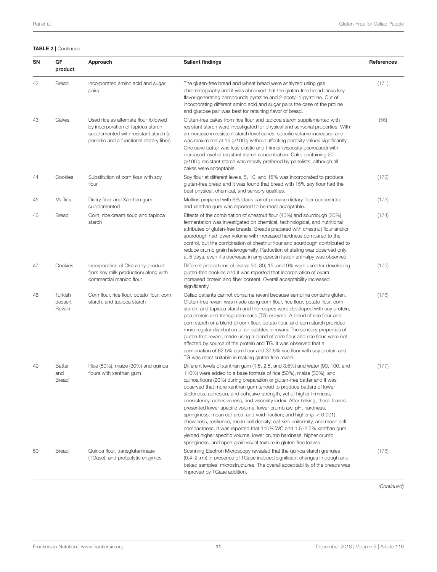#### TABLE 2 | Continued

| SΝ | GF<br>product                | Approach                                                                                                                                                         | <b>Salient findings</b>                                                                                                                                                                                                                                                                                                                                                                                                                                                                                                                                                                                                                                                                                                                                                                                                                                                                                    | <b>References</b> |
|----|------------------------------|------------------------------------------------------------------------------------------------------------------------------------------------------------------|------------------------------------------------------------------------------------------------------------------------------------------------------------------------------------------------------------------------------------------------------------------------------------------------------------------------------------------------------------------------------------------------------------------------------------------------------------------------------------------------------------------------------------------------------------------------------------------------------------------------------------------------------------------------------------------------------------------------------------------------------------------------------------------------------------------------------------------------------------------------------------------------------------|-------------------|
| 42 | <b>Bread</b>                 | Incorporated amino acid and sugar<br>pairs                                                                                                                       | The gluten-free bread and wheat bread were analyzed using gas<br>chromatography and it was observed that the gluten-free bread lacks key<br>flavor-generating compounds pyrazine and 2-acetyl-1-pyrroline. Out of<br>incorporating different amino acid and sugar pairs the case of the proline<br>and glucose pair was best for retaining flavor of bread.                                                                                                                                                                                                                                                                                                                                                                                                                                                                                                                                                | (171)             |
| 43 | Cakes                        | Used rice as alternate flour followed<br>by incorporation of tapioca starch<br>supplemented with resistant starch (a<br>periodic and a functional dietary fiber) | Gluten-free cakes from rice flour and tapioca starch supplemented with<br>resistant starch were investigated for physical and sensorial properties. With<br>an increase in resistant starch level cakes, specific volume increased and<br>was maximized at 15 g/100 g without affecting porosity values significantly.<br>One cake batter was less elastic and thinner (viscosity decreased) with<br>increased level of resistant starch concentration. Cake containing 20<br>g/100 g resistant starch was mostly preferred by panelists, although all<br>cakes were acceptable.                                                                                                                                                                                                                                                                                                                           | (56)              |
| 44 | Cookies                      | Substitution of corn flour with soy<br>flour                                                                                                                     | Soy flour at different levels, 5, 10, and 15% was incorporated to produce<br>gluten-free bread and it was found that bread with 15% soy flour had the<br>best physical, chemical, and sensory qualities.                                                                                                                                                                                                                                                                                                                                                                                                                                                                                                                                                                                                                                                                                                   | (172)             |
| 45 | Muffins                      | Dietry fiber and Xanthan gum<br>supplemented                                                                                                                     | Muffins prepared with 6% black carrot pomace dietary fiber concentrate<br>and xanthan gum was reported to be most acceptable.                                                                                                                                                                                                                                                                                                                                                                                                                                                                                                                                                                                                                                                                                                                                                                              | (173)             |
| 46 | <b>Bread</b>                 | Corn, rice cream soup and tapioca<br>starch                                                                                                                      | Effects of the combination of chestnut flour (40%) and sourdough (20%)<br>fermentation was investigated on chemical, technological, and nutritional<br>attributes of gluten-free breads. Breads prepared with chestnut flour and/or<br>sourdough had lower volume with increased hardness compared to the<br>control, but the combination of chestnut flour and sourdough contributed to<br>reduce crumb grain heterogeneity. Reduction of staling was observed only<br>at 5 days, even if a decrease in amylopectin fusion enthalpy was observed.                                                                                                                                                                                                                                                                                                                                                         | (174)             |
| 47 | Cookies                      | Incorporation of Okara (by-product<br>from soy milk production) along with<br>commercial manioc flour                                                            | Different proportions of okara: 50; 30; 15; and 0% were used for developing<br>gluten-free cookies and it was reported that incorporation of okara<br>increased protein and fiber content. Overall acceptability increased<br>significantly.                                                                                                                                                                                                                                                                                                                                                                                                                                                                                                                                                                                                                                                               | (175)             |
| 48 | Turkish<br>dessert<br>Revani | Corn flour, rice flour, potato flour, corn<br>starch, and tapioca starch                                                                                         | Celiac patients cannot consume revani because semolina contains gluten.<br>Gluten-free revani was made using corn flour, rice flour, potato flour, corn<br>starch, and tapioca starch and the recipes were developed with soy protein,<br>pea protein and transglutaminase (TG) enzyme. A blend of rice flour and<br>corn starch or a blend of corn flour, potato flour, and corn starch provided<br>more regular distribution of air bubbles in revani. The sensory properties of<br>gluten-free revani, made using a blend of corn flour and rice flour, were not<br>affected by source of the protein and TG. It was observed that a<br>combination of 62.5% corn flour and 37.5% rice flour with soy protein and<br>TG was most suitable in making gluten-free revani.                                                                                                                                 | (176)             |
| 49 | Batter<br>and<br>Bread       | Rice (50%), maize (30%) and quinoa<br>flours with xanthan gum                                                                                                    | Different levels of xanthan gum (1.5, 2.5, and 3.5%) and water (90, 100, and<br>110%) were added to a base formula of rice (50%), maize (30%), and<br>quinoa flours (20%) during preparation of gluten-free batter and it was<br>observed that more xanthan gum tended to produce batters of lower<br>stickiness, adhesion, and cohesive-strength, yet of higher firmness,<br>consistency, cohesiveness, and viscosity index. After baking, these loaves<br>presented lower specific volume, lower crumb aw, pH, hardness,<br>springiness, mean cell area, and void fraction; and higher ( $p < 0.001$ )<br>chewiness, resilience, mean cell density, cell size uniformity, and mean cell<br>compactness. It was reported that 110% WC and 1.5-2.5% xanthan gum<br>yielded higher specific volume, lower crumb hardness, higher crumb<br>springiness, and open grain visual texture in gluten-free loaves. | (177)             |
| 50 | <b>Bread</b>                 | Quinoa flour, transglutaminase<br>(TGase), and proteolytic enzymes                                                                                               | Scanning Electron Microscopy revealed that the guinoa starch granules<br>$(0.4-2 \,\mu m)$ in presence of TGase induced significant changes in dough and<br>baked samples' microstructures. The overall acceptability of the breads was<br>improved by TGase addition.                                                                                                                                                                                                                                                                                                                                                                                                                                                                                                                                                                                                                                     | (178)             |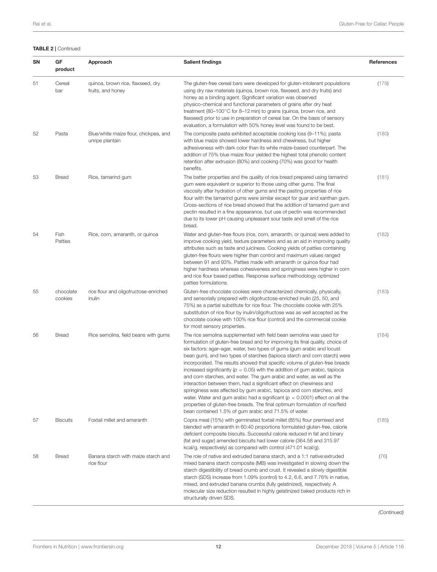### TABLE 2 | Continued

| SΝ | GF<br>product        | Approach                                                 | <b>Salient findings</b>                                                                                                                                                                                                                                                                                                                                                                                                                                                                                                                                                                                                                                                                                                                                                                                                                                                                                                                     | <b>References</b> |
|----|----------------------|----------------------------------------------------------|---------------------------------------------------------------------------------------------------------------------------------------------------------------------------------------------------------------------------------------------------------------------------------------------------------------------------------------------------------------------------------------------------------------------------------------------------------------------------------------------------------------------------------------------------------------------------------------------------------------------------------------------------------------------------------------------------------------------------------------------------------------------------------------------------------------------------------------------------------------------------------------------------------------------------------------------|-------------------|
| 51 | Cereal<br>bar        | quinoa, brown rice, flaxseed, dry<br>fruits, and honey   | The gluten-free cereal bars were developed for gluten-intolerant populations<br>using dry raw materials (quinoa, brown rice, flaxseed, and dry fruits) and<br>honey as a binding agent. Significant variation was observed<br>physico-chemical and functional parameters of grains after dry heat<br>treatment (80–100 $\degree$ C for 8–12 min) to grains (quinoa, brown rice, and<br>flaxseed) prior to use in preparation of cereal bar. On the basis of sensory<br>evaluation, a formulation with 50% honey level was found to be best.                                                                                                                                                                                                                                                                                                                                                                                                 | (179)             |
| 52 | Pasta                | Blue/white maize flour, chickpea, and<br>unripe plantain | The composite pasta exhibited acceptable cooking loss (9-11%); pasta<br>with blue maize showed lower hardness and chewiness, but higher<br>adhesiveness with dark color than its white maize-based counterpart. The<br>addition of 75% blue maize flour yielded the highest total phenolic content<br>retention after extrusion (80%) and cooking (70%) was good for health<br>benefits.                                                                                                                                                                                                                                                                                                                                                                                                                                                                                                                                                    | (180)             |
| 53 | <b>Bread</b>         | Rice, tamarind gum                                       | The batter properties and the quality of rice bread prepared using tamarind<br>gum were equivalent or superior to those using other gums. The final<br>viscosity after hydration of other gums and the pasting properties of rice<br>flour with the tamarind gums were similar except for guar and xanthan gum.<br>Cross-sections of rice bread showed that the addition of tamarind gum and<br>pectin resulted in a fine appearance, but use of pectin was recommended<br>due to its lower pH causing unpleasant sour taste and smell of the rice<br>bread.                                                                                                                                                                                                                                                                                                                                                                                | (181)             |
| 54 | Fish<br>Patties      | Rice, corn, amaranth, or quinoa                          | Water and gluten-free flours (rice, corn, amaranth, or quinoa) were added to<br>improve cooking yield, texture parameters and as an aid in improving quality<br>attributes such as taste and juiciness. Cooking yields of patties containing<br>gluten-free flours were higher than control and maximum values ranged<br>between 91 and 93%. Patties made with amaranth or quinoa flour had<br>higher hardness whereas cohesiveness and springiness were higher in corn<br>and rice flour based patties. Response surface methodology optimized<br>patties formulations.                                                                                                                                                                                                                                                                                                                                                                    | (182)             |
| 55 | chocolate<br>cookies | rice flour and oligofructose-enriched<br>inulin          | Gluten-free chocolate cookies were characterized chemically, physically,<br>and sensorially prepared with oligofructose-enriched inulin (25, 50, and<br>75%) as a partial substitute for rice flour. The chocolate cookie with 25%<br>substitution of rice flour by inulin/oligofructose was as well accepted as the<br>chocolate cookie with 100% rice flour (control) and the commercial cookie<br>for most sensory properties.                                                                                                                                                                                                                                                                                                                                                                                                                                                                                                           | (183)             |
| 56 | <b>Bread</b>         | Rice semolina, field beans with gums                     | The rice semolina supplemented with field bean semolina was used for<br>formulation of gluten-free bread and for improving its final quality, choice of<br>six factors: agar-agar, water, two types of gums (gum arabic and locust<br>bean gum), and two types of starches (tapioca starch and corn starch) were<br>incorporated. The results showed that specific volume of gluten-free breads<br>increased significantly ( $p < 0.05$ ) with the addition of gum arabic, tapioca<br>and corn starches, and water. The gum arabic and water, as well as the<br>interaction between them, had a significant effect on chewiness and<br>springiness was affected by gum arabic, tapioca and corn starches, and<br>water. Water and gum arabic had a significant ( $p < 0.0001$ ) effect on all the<br>properties of gluten-free breads. The final optimum formulation of rice/field<br>bean contained 1.5% of gum arabic and 71.5% of water. | (184)             |
| 57 | <b>Biscuits</b>      | Foxtail millet and amaranth                              | Copra meal (15%) with germinated foxtail millet (85%) flour premixed and<br>blended with amaranth in 60:40 proportions formulated gluten-free, calorie<br>deficient composite biscuits. Successful calorie reduced in fat and binary<br>(fat and sugar) amended biscuits had lower calorie (364.58 and 315.97<br>kcal/g, respectively) as compared with control (471.01 kcal/g).                                                                                                                                                                                                                                                                                                                                                                                                                                                                                                                                                            | (185)             |
| 58 | <b>Bread</b>         | Banana starch with maize starch and<br>rice flour        | The role of native and extruded banana starch, and a 1:1 native: extruded<br>mixed banana starch composite (MB) was investigated in slowing down the<br>starch digestibility of bread crumb and crust. It revealed a slowly digestible<br>starch (SDS) increase from 1.09% (control) to 4.2, 6.6, and 7.76% in native,<br>mixed, and extruded banana crumbs (fully gelatinized), respectively. A<br>molecular size reduction resulted in highly gelatinized baked products rich in<br>structurally driven SDS.                                                                                                                                                                                                                                                                                                                                                                                                                              | (76)              |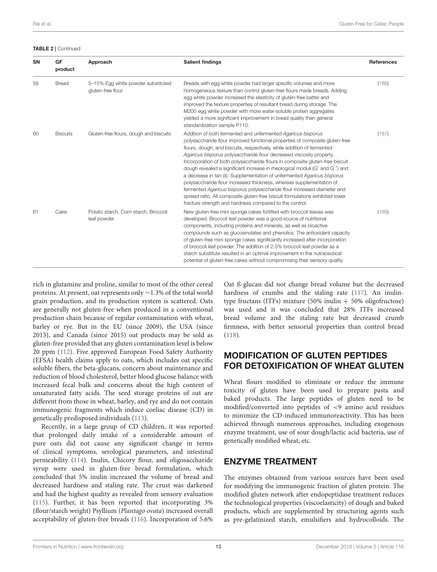TABLE 2 | Continued

| SN | GF<br>product   | Approach                                                | <b>Salient findings</b>                                                                                                                                                                                                                                                                                                                                                                                                                                                                                                                                                                                                                                                                                                                                                                                                                 | <b>References</b> |
|----|-----------------|---------------------------------------------------------|-----------------------------------------------------------------------------------------------------------------------------------------------------------------------------------------------------------------------------------------------------------------------------------------------------------------------------------------------------------------------------------------------------------------------------------------------------------------------------------------------------------------------------------------------------------------------------------------------------------------------------------------------------------------------------------------------------------------------------------------------------------------------------------------------------------------------------------------|-------------------|
| 59 | <b>Bread</b>    | 5-15% Egg white powder substituted<br>gluten-free flour | Breads with egg white powder had larger specific volumes and more<br>homogeneous texture than control gluten-free flours made breads. Adding<br>egg white powder increased the elasticity of gluten-free batter and<br>improved the texture properties of resultant bread during storage. The<br>M200 egg white powder with more water-soluble protein aggregates<br>yielded a more significant improvement in bread quality than general<br>standardization sample P110.                                                                                                                                                                                                                                                                                                                                                               | (186)             |
| 60 | <b>Biscuits</b> | Gluten-free flours, dough and biscuits                  | Addition of both fermented and unfermented Agaricus bisporus<br>polysaccharide flour improved functional properties of composite gluten-free<br>flours, dough, and biscuits, respectively, while addition of fermented<br>Agaricus bisporus polysaccharide flour decreased viscosity property.<br>Incorporation of both polysaccharide flours in composite gluten-free biscuit<br>dough revealed a significant increase in rheological moduli (G' and G'') and<br>a decrease in tan (8). Supplementation of unfermented Agaricus bisporus<br>polysaccharide flour increased thickness, whereas supplementation of<br>fermented Agaricus bisporus polysaccharide flour increased diameter and<br>spread ratio. All composite gluten-free biscuit formulations exhibited lower<br>fracture strength and hardness compared to the control. | (187)             |
| 61 | Cake            | Potato starch, Corn starch, Broccoli<br>leaf powder     | New gluten-free mini sponge cakes fortified with broccoli leaves was<br>developed. Broccoli leaf powder was a good source of nutritional<br>components, including proteins and minerals, as well as bioactive<br>compounds such as glucosinolates and phenolics. The antioxidant capacity<br>of gluten-free mini sponge cakes significantly increased after incorporation<br>of broccoli leaf powder. The addition of 2.5% broccoli leaf powder as a<br>starch substitute resulted in an optimal improvement in the nutraceutical<br>potential of gluten-free cakes without compromising their sensory quality.                                                                                                                                                                                                                         | (188)             |

rich in glutamine and proline, similar to most of the other cereal proteins. At present, oat represents only ∼1.3% of the total world grain production, and its production system is scattered. Oats are generally not gluten-free when produced in a conventional production chain because of regular contamination with wheat, barley or rye. But in the EU (since 2009), the USA (since 2013), and Canada (since 2015) oat products may be sold as gluten-free provided that any gluten contamination level is below 20 ppm [\(112\)](#page-20-32). Five approved European Food Safety Authority (EFSA) health claims apply to oats, which includes oat specific soluble fibers, the beta-glucans, concern about maintenance and reduction of blood cholesterol, better blood glucose balance with increased fecal bulk and concerns about the high content of unsaturated fatty acids. The seed storage proteins of oat are different from those in wheat, barley, and rye and do not contain immunogenic fragments which induce coeliac disease (CD) in genetically predisposed individuals [\(113\)](#page-20-33).

Recently, in a large group of CD children, it was reported that prolonged daily intake of a considerable amount of pure oats did not cause any significant change in terms of clinical symptoms, serological parameters, and intestinal permeability [\(114\)](#page-20-34). Inulin, Chicory flour, and oligosaccharide syrup were used in gluten-free bread formulation, which concluded that 5% inulin increased the volume of bread and decreased hardness and staling rate. The crust was darkened and had the highest quality as revealed from sensory evaluation [\(115\)](#page-20-35). Further, it has been reported that incorporating 3% (flour/starch weight) Psyllium (Plantago ovata) increased overall acceptability of gluten-free breads [\(116\)](#page-20-36). Incorporation of 5.6%

Oat ß-glucan did not change bread volume but the decreased hardness of crumbs and the staling rate [\(117\)](#page-20-37). An inulintype fructans (ITFs) mixture (50% inulin  $+$  50% oligofructose) was used and it was concluded that 28% ITFs increased bread volume and the staling rate but decreased crumb firmness, with better sensorial properties than control bread [\(118\)](#page-21-1).

### MODIFICATION OF GLUTEN PEPTIDES FOR DETOXIFICATION OF WHEAT GLUTEN

Wheat flours modified to eliminate or reduce the immune toxicity of gluten have been used to prepare pasta and baked products. The large peptides of gluten need to be modified/converted into peptides of <9 amino acid residues to minimize the CD-induced immunoreactivity. This has been achieved through numerous approaches, including exogenous enzyme treatment, use of sour dough/lactic acid bacteria, use of genetically modified wheat, etc.

# ENZYME TREATMENT

The enzymes obtained from various sources have been used for modifying the immunogenic fraction of gluten protein. The modified gluten network after endopeptidase treatment reduces the technological properties (viscoelasticity) of dough and baked products, which are supplemented by structuring agents such as pre-gelatinized starch, emulsifiers and hydrocolloids. The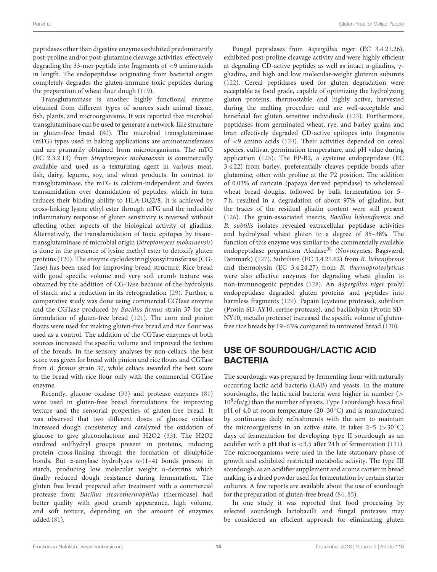peptidases other than digestive enzymes exhibited predominantly post-proline and/or post-glutamine cleavage activities, effectively degrading the 33-mer peptide into fragments of <9 amino acids in length. The endopeptidase originating from bacterial origin completely degrades the gluten-immune toxic peptides during the preparation of wheat flour dough [\(119\)](#page-21-2).

Transglutaminase is another highly functional enzyme obtained from different types of sources such animal tissue, fish, plants, and microorganisms. It was reported that microbial transglutaminase can be used to generate a network-like structure in gluten-free bread [\(80\)](#page-20-38). The microbial transglutaminase (mTG) types used in baking applications are aminotransferases and are primarily obtained from microorganisms. The mTG (EC 2.3.2.13) from Streptomyces mobaraensis is commercially available and used as a texturizing agent in various meat, fish, dairy, legume, soy, and wheat products. In contrast to transglutaminase, the mTG is calcium-independent and favors transamidation over deamidation of peptides, which in turn reduces their binding ability to HLA-DQ2/8. It is achieved by cross-linking lysine ethyl ester through mTG and the inducible inflammatory response of gluten sensitivity is reversed without affecting other aspects of the biological activity of gliadins. Alternatively, the transdamidation of toxic epitopes by tissuetransglutaminase of microbial origin (Streptomyces mobaraensis) is done in the presence of lysine methyl ester to detoxify gluten proteins [\(120\)](#page-21-3). The enzyme cyclodextringlycosyltransferase (CG-Tase) has been used for improving bread structure. Rice bread with good specific volume and very soft crumb texture was obtained by the addition of CG-Tase because of the hydrolysis of starch and a reduction in its retrogradation [\(29\)](#page-18-29). Further, a comparative study was done using commercial CGTase enzyme and the CGTase produced by Bacillus firmus strain 37 for the formulation of gluten-free bread [\(121\)](#page-21-4). The corn and pinion flours were used for making gluten-free bread and rice flour was used as a control. The addition of the CGTase enzymes of both sources increased the specific volume and improved the texture of the breads. In the sensory analyses by non-celiacs, the best score was given for bread with pinion and rice flours and CGTase from B. firmus strain 37, while celiacs awarded the best score to the bread with rice flour only with the commercial CGTase enzyme.

Recently, glucose oxidase [\(33\)](#page-18-31) and protease enzymes [\(81\)](#page-20-28) were used in gluten-free bread formulations for improving texture and the sensorial properties of gluten-free bread. It was observed that two different doses of glucose oxidase increased dough consistency and catalyzed the oxidation of glucose to give gluconolactone and H2O2 [\(33\)](#page-18-31). The H2O2 oxidized sulfhydryl groups present in proteins, inducing protein cross-linking through the formation of disulphide bonds. But  $\alpha$ -amylase hydrolyzes  $\alpha$ -(1-4) bonds present in starch, producing low molecular weight α-dextrins which finally reduced dough resistance during fermentation. The gluten free bread prepared after treatment with a commercial protease from Bacillus stearothermophilus (thermoase) had better quality with good crumb appearance, high volume, and soft texture, depending on the amount of enzymes added [\(81\)](#page-20-28).

Fungal peptidases from Aspergillus niger (EC 3.4.21.26), exhibited post-proline cleavage activity and were highly efficient at degrading CD-active peptides as well as intact α-gliadins, γgliadins, and high and low molecular-weight glutenin subunits [\(122\)](#page-21-5). Cereal peptidases used for gluten degradation were acceptable as food grade, capable of optimizing the hydrolyzing gluten proteins, thermostable and highly active, harvested during the malting procedure and are well-acceptable and beneficial for gluten sensitive individuals [\(123\)](#page-21-6). Furthermore, peptidases from germinated wheat, rye, and barley grains and bran effectively degraded CD-active epitopes into fragments of <9 amino acids [\(124\)](#page-21-7). Their activities depended on cereal species, cultivar, germination temperature, and pH value during application [\(125\)](#page-21-8). The EP-B2, a cysteine endopeptidase (EC 3.4.22) from barley, preferentially cleaves peptide bonds after glutamine, often with proline at the P2 position. The addition of 0.03% of caricain (papaya derived peptidase) to wholemeal wheat bread doughs, followed by bulk fermentation for 5– 7 h, resulted in a degradation of about 97% of gliadins, but the traces of the residual gliadin content were still present [\(126\)](#page-21-9). The grain-associated insects, Bacillus licheniformis and B. subtilis isolates revealed extracellular peptidase activities and hydrolyzed wheat gluten to a degree of 35–38%. The function of this enzyme was similar to the commercially available endopeptidase preparation Alcalase<sup>®</sup> (Novozymes, Bagsværd, Denmark) [\(127\)](#page-21-10). Subtilisin (EC 3.4.21.62) from B. licheniformis and thermolysin (EC 3.4.24.27) from B. thermoproteolyticus were also effective enzymes for degrading wheat gliadin to non-immunogenic peptides [\(128\)](#page-21-11). An Aspergillus niger prolyl endopeptidase degraded gluten proteins and peptides into harmless fragments [\(129\)](#page-21-12). Papain (cysteine protease), subtilisin (Protin SD-AY10, serine protease), and bacillolysin (Protin SD-NY10, metallo protease) increased the specific volume of glutenfree rice breads by 19–63% compared to untreated bread [\(130\)](#page-21-13).

### USE OF SOURDOUGH/LACTIC ACID **BACTERIA**

The sourdough was prepared by fermenting flour with naturally occurring lactic acid bacteria (LAB) and yeasts. In the mature sourdoughs, the lactic acid bacteria were higher in number (> 10<sup>8</sup> cfu/g) than the number of yeasts. Type I sourdough has a final pH of 4.0 at room temperature (20–30◦C) and is manufactured by continuous daily refreshments with the aim to maintain the microorganisms in an active state. It takes  $2-5$  (>30 $\degree$ C) days of fermentation for developing type II sourdough as an acidifier with a pH that is  $<$ 3.5 after 24 h of fermentation [\(131\)](#page-21-14). The microorganisms were used in the late stationary phase of growth and exhibited restricted metabolic activity. The type III sourdough, as an acidifier supplement and aroma carrier in bread making, is a dried powder used for fermentation by certain starter cultures. A few reports are available about the use of sourdough for the preparation of gluten-free bread [\(84,](#page-20-8) [85\)](#page-20-27).

In one study it was reported that food processing by selected sourdough lactobacilli and fungal proteases may be considered an efficient approach for eliminating gluten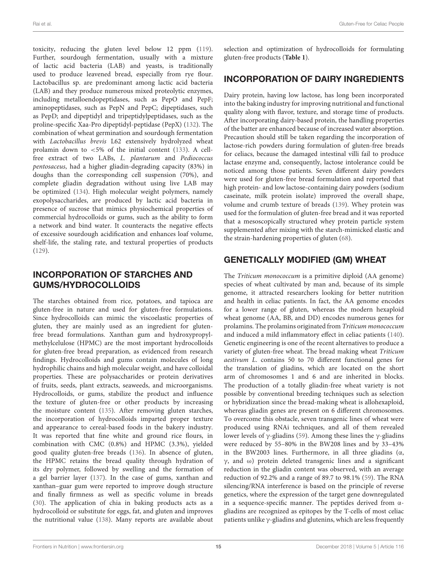toxicity, reducing the gluten level below 12 ppm [\(119\)](#page-21-2). Further, sourdough fermentation, usually with a mixture of lactic acid bacteria (LAB) and yeasts, is traditionally used to produce leavened bread, especially from rye flour. Lactobacillus sp. are predominant among lactic acid bacteria (LAB) and they produce numerous mixed proteolytic enzymes, including metalloendopeptidases, such as PepO and PepF; aminopeptidases, such as PepN and PepC; dipeptidases, such as PepD; and dipeptidyl and tripeptidylpeptidases, such as the proline-specific Xaa-Pro dipeptidyl-peptidase (PepX) [\(132\)](#page-21-15). The combination of wheat germination and sourdough fermentation with Lactobacillus brevis L62 extensively hydrolyzed wheat prolamin down to <5% of the initial content [\(133\)](#page-21-16). A cellfree extract of two LABs, L. plantarum and Pediococcus pentosaceus, had a higher gliadin-degrading capacity (83%) in doughs than the corresponding cell suspension (70%), and complete gliadin degradation without using live LAB may be optimized [\(134\)](#page-21-17). High molecular weight polymers, namely exopolysaccharides, are produced by lactic acid bacteria in presence of sucrose that mimics physiochemical properties of commercial hydrocolloids or gums, such as the ability to form a network and bind water. It counteracts the negative effects of excessive sourdough acidification and enhances loaf volume, shelf-life, the staling rate, and textural properties of products [\(129\)](#page-21-12).

### INCORPORATION OF STARCHES AND GUMS/HYDROCOLLOIDS

The starches obtained from rice, potatoes, and tapioca are gluten-free in nature and used for gluten-free formulations. Since hydrocolloids can mimic the viscoelastic properties of gluten, they are mainly used as an ingredient for glutenfree bread formulations. Xanthan gum and hydroxypropylmethylcelulose (HPMC) are the most important hydrocolloids for gluten-free bread preparation, as evidenced from research findings. Hydrocolloids and gums contain molecules of long hydrophilic chains and high molecular weight, and have colloidal properties. These are polysaccharides or protein derivatives of fruits, seeds, plant extracts, seaweeds, and microorganisms. Hydrocolloids, or gums, stabilize the product and influence the texture of gluten-free or other products by increasing the moisture content [\(135\)](#page-21-18). After removing gluten starches, the incorporation of hydrocolloids imparted proper texture and appearance to cereal-based foods in the bakery industry. It was reported that fine white and ground rice flours, in combination with CMC (0.8%) and HPMC (3.3%), yielded good quality gluten-free breads [\(136\)](#page-21-19). In absence of gluten, the HPMC retains the bread quality through hydration of its dry polymer, followed by swelling and the formation of a gel barrier layer [\(137\)](#page-21-20). In the case of gums, xanthan and xanthan–guar gum were reported to improve dough structure and finally firmness as well as specific volume in breads [\(30\)](#page-18-32). The application of chia in baking products acts as a hydrocolloid or substitute for eggs, fat, and gluten and improves the nutritional value [\(138\)](#page-21-21). Many reports are available about selection and optimization of hydrocolloids for formulating gluten-free products (**[Table 1](#page-4-0)**).

### INCORPORATION OF DAIRY INGREDIENTS

Dairy protein, having low lactose, has long been incorporated into the baking industry for improving nutritional and functional quality along with flavor, texture, and storage time of products. After incorporating dairy-based protein, the handling properties of the batter are enhanced because of increased water absorption. Precaution should still be taken regarding the incorporation of lactose-rich powders during formulation of gluten-free breads for celiacs, because the damaged intestinal villi fail to produce lactase enzyme and, consequently, lactose intolerance could be noticed among those patients. Seven different dairy powders were used for gluten-free bread formulation and reported that high protein- and low lactose-containing dairy powders (sodium caseinate, milk protein isolate) improved the overall shape, volume and crumb texture of breads [\(139\)](#page-21-22). Whey protein was used for the formulation of gluten-free bread and it was reported that a mesoscopically structured whey protein particle system supplemented after mixing with the starch-mimicked elastic and the strain-hardening properties of gluten [\(68\)](#page-19-27).

# GENETICALLY MODIFIED (GM) WHEAT

The Triticum monococcum is a primitive diploid (AA genome) species of wheat cultivated by man and, because of its simple genome, it attracted researchers looking for better nutrition and health in celiac patients. In fact, the AA genome encodes for a lower range of gluten, whereas the modern hexaploid wheat genome (AA, BB, and DD) encodes numerous genes for prolamins. The prolamins originated from Triticum monococcum and induced a mild inflammatory effect in celiac patients [\(140\)](#page-21-23). Genetic engineering is one of the recent alternatives to produce a variety of gluten-free wheat. The bread making wheat Triticum aestivum L. contains 50 to 70 different functional genes for the translation of gliadins, which are located on the short arm of chromosomes 1 and 6 and are inherited in blocks. The production of a totally gliadin-free wheat variety is not possible by conventional breeding techniques such as selection or hybridization since the bread-making wheat is allohexaploid, whereas gliadin genes are present on 6 different chromosomes. To overcome this obstacle, seven transgenic lines of wheat were produced using RNAi techniques, and all of them revealed lower levels of  $γ$ -gliadins [\(59\)](#page-19-34). Among these lines the  $γ$ -gliadins were reduced by 55–80% in the BW208 lines and by 33–43% in the BW2003 lines. Furthermore, in all three gliadins  $(\alpha,$ γ, and ω) protein deleted transgenic lines and a significant reduction in the gliadin content was observed, with an average reduction of 92.2% and a range of 89.7 to 98.1% [\(59\)](#page-19-34). The RNA silencing/RNA interference is based on the principle of reverse genetics, where the expression of the target gene downregulated in a sequence-specific manner. The peptides derived from  $\alpha$ gliadins are recognized as epitopes by the T-cells of most celiac patients unlike  $\gamma$ -gliadins and glutenins, which are less frequently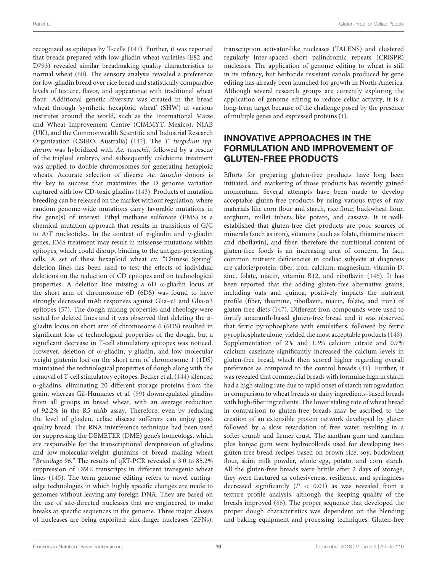recognized as epitopes by T-cells [\(141\)](#page-21-24). Further, it was reported that breads prepared with low-gliadin wheat varieties (E82 and D793) revealed similar breadmaking quality characteristics to normal wheat [\(60\)](#page-19-10). The sensory analysis revealed a preference for low-gliadin bread over rice bread and statistically comparable levels of texture, flavor, and appearance with traditional wheat flour. Additional genetic diversity was created in the bread wheat through 'synthetic hexaploid wheat' (SHW) at various institutes around the world, such as the International Maize and Wheat Improvement Centre (CIMMYT, Mexico), NIAB (UK), and the Commonwealth Scientific and Industrial Research Organization (CSIRO, Australia) [\(142\)](#page-21-25). The T. turgidum spp. durum was hybridized with Ae. tauschii, followed by a rescue of the triploid embryo, and subsequently colchicine treatment was applied to double chromosomes for generating hexaploid wheats. Accurate selection of diverse Ae. tauschii donors is the key to success that maximizes the D genome variation captured with low CD-toxic gliadins [\(143\)](#page-21-26). Products of mutation breeding can be released on the market without regulation, where random genome-wide mutations carry favorable mutations in the gene(s) of interest. Ethyl methane sulfonate (EMS) is a chemical mutation approach that results in transitions of G/C to A/T nucleotides. In the context of α-gliadin and γ-gliadin genes, EMS treatment may result in missense mutations within epitopes, which could disrupt binding to the antigen-presenting cells. A set of these hexaploid wheat cv. "Chinese Spring" deletion lines has been used to test the effects of individual deletions on the reduction of CD epitopes and on technological properties. A deletion line missing a 6D α-gliadin locus at the short arm of chromosome 6D (6DS) was found to have strongly decreased mAb responses against Glia-α1 and Glia-α3 epitopes [\(57\)](#page-19-9). The dough mixing properties and rheology were tested for deleted lines and it was observed that deleting the αgliadin locus on short arm of chromosome 6 (6DS) resulted in significant loss of technological properties of the dough, but a significant decrease in T-cell stimulatory epitopes was noticed. However, deletion of ω-gliadin, γ-gliadin, and low molecular weight glutenin loci on the short arm of chromosome 1 (1DS) maintained the technological properties of dough along with the removal of T-cell stimulatory epitopes. Becker et al. [\(144\)](#page-21-27) silenced α-gliadins, eliminating 20 different storage proteins from the grain, whereas Gil-Humanes et al. [\(59\)](#page-19-34) downregulated gliadins from all groups in bread wheat, with an average reduction of 92.2% in the R5 mAb assay. Therefore, even by reducing the level of gliaden, celiac disease sufferers can enjoy good quality bread. The RNA interference technique had been used for suppressing the DEMETER (DME) gene's homeologs, which are responsible for the transcriptional derepression of gliadins and low-molecular-weight glutenins of bread making wheat "Brundage 96." The results of qRT-PCR revealed a 3.0 to 85.2% suppression of DME transcripts in different transgenic wheat lines [\(145\)](#page-21-28). The term genome editing refers to novel cuttingedge technologies in which highly specific changes are made to genomes without leaving any foreign DNA. They are based on the use of site-directed nucleases that are engineered to make breaks at specific sequences in the genome. Three major classes of nucleases are being exploited: zinc-finger nucleases (ZFNs), transcription activator-like nucleases (TALENS) and clustered regularly inter-spaced short palindromic repeats (CRISPR) nucleases. The application of genome editing to wheat is still in its infancy, but herbicide resistant canola produced by gene editing has already been launched for growth in North America. Although several research groups are currently exploring the application of genome editing to reduce celiac activity, it is a long-term target because of the challenge posed by the presence of multiple genes and expressed proteins [\(1\)](#page-18-0).

### INNOVATIVE APPROACHES IN THE FORMULATION AND IMPROVEMENT OF GLUTEN-FREE PRODUCTS

Efforts for preparing gluten-free products have long been initiated, and marketing of those products has recently gained momentum. Several attempts have been made to develop acceptable gluten-free products by using various types of raw materials like corn flour and starch, rice flour, buckwheat flour, sorghum, millet tubers like potato, and cassava. It is wellestablished that gluten-free diet products are poor sources of minerals (such as iron), vitamins (such as folate, thiamine niacin and riboflavin), and fiber; therefore the nutritional content of gluten-free foods is an increasing area of concern. In fact, common nutrient deficiencies in coeliac subjects at diagnosis are calorie/protein, fiber, iron, calcium, magnesium, vitamin D, zinc, folate, niacin, vitamin B12, and riboflavin [\(146\)](#page-21-29). It has been reported that the adding gluten-free alternative grains, including oats and quinoa, positively impacts the nutrient profile (fiber, thiamine, riboflavin, niacin, folate, and iron) of gluten-free diets [\(147\)](#page-21-30). Different iron compounds were used to fortify amaranth-based gluten-free bread and it was observed that ferric pyrophosphate with emulsifiers, followed by ferric pyrophosphate alone, yielded the most acceptable products [\(148\)](#page-21-31). Supplementation of 2% and 1.3% calcium citrate and 0.7% calcium caseinate significantly increased the calcium levels in gluten-free bread, which then scored higher regarding overall preference as compared to the control breads [\(41\)](#page-19-5). Further, it was revealed that commercial breads with formulae high in starch had a high staling rate due to rapid onset of starch retrogradation in comparison to wheat breads or dairy ingredients-based breads with high-fiber ingredients. The lower staling rate of wheat bread in comparison to gluten-free breads may be ascribed to the creation of an extensible protein network developed by gluten followed by a slow retardation of free water resulting in a softer crumb and firmer crust. The xanthan gum and xanthan plus konjac gum were hydrocolloids used for developing two gluten-free bread recipes based on brown rice, soy, buckwheat flour, skim milk powder, whole egg, potato, and corn starch. All the gluten-free breads were brittle after 2 days of storage; they were fractured as cohesiveness, resilience, and springiness decreased significantly  $(P < 0.01)$  as was revealed from a texture profile analysis, although the keeping quality of the breads improved [\(86\)](#page-20-39). The proper sequence that developed the proper dough characteristics was dependent on the blending and baking equipment and processing techniques. Gluten-free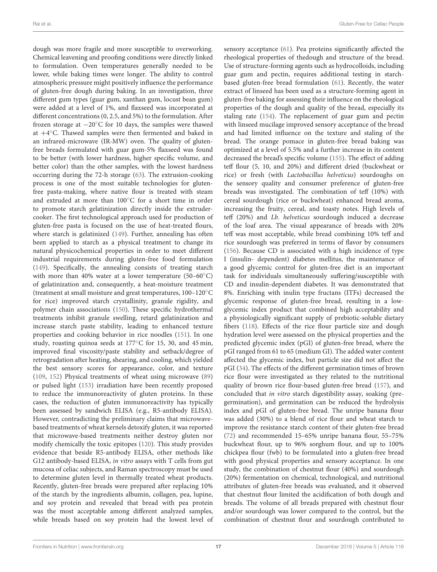dough was more fragile and more susceptible to overworking. Chemical leavening and proofing conditions were directly linked to formulation. Oven temperatures generally needed to be lower, while baking times were longer. The ability to control atmospheric pressure might positively influence the performance of gluten-free dough during baking. In an investigation, three different gum types (guar gum, xanthan gum, locust bean gum) were added at a level of 1%, and flaxseed was incorporated at different concentrations (0, 2.5, and 5%) to the formulation. After frozen storage at −20◦C for 10 days, the samples were thawed at +4 ◦C. Thawed samples were then fermented and baked in an infrared-microwave (IR-MW) oven. The quality of glutenfree breads formulated with guar gum-5% flaxseed was found to be better (with lower hardness, higher specific volume, and better color) than the other samples, with the lowest hardness occurring during the 72-h storage [\(63\)](#page-19-13). The extrusion-cooking process is one of the most suitable technologies for glutenfree pasta-making, where native flour is treated with steam and extruded at more than 100◦C for a short time in order to promote starch gelatinization directly inside the extrudercooker. The first technological approach used for production of gluten-free pasta is focused on the use of heat-treated flours, where starch is gelatinized [\(149\)](#page-21-32). Further, annealing has often been applied to starch as a physical treatment to change its natural physicochemical properties in order to meet different industrial requirements during gluten-free food formulation [\(149\)](#page-21-32). Specifically, the annealing consists of treating starch with more than 40% water at a lower temperature  $(50-60°C)$ of gelatinization and, consequently, a heat-moisture treatment (treatment at small moisture and great temperatures, 100–120 ◦C for rice) improved starch crystallinity, granule rigidity, and polymer chain associations [\(150\)](#page-21-33). These specific hydrothermal treatments inhibit granule swelling, retard gelatinization and increase starch paste stability, leading to enhanced texture properties and cooking behavior in rice noodles [\(151\)](#page-21-34). In one study, roasting quinoa seeds at 177◦C for 15, 30, and 45 min, improved final viscosity/paste stability and setback/degree of retrogradation after heating, shearing, and cooling, which yielded the best sensory scores for appearance, color, and texture [\(109,](#page-20-23) [152\)](#page-21-35) Physical treatments of wheat using microwave [\(89\)](#page-20-10) or pulsed light [\(153\)](#page-21-36) irradiation have been recently proposed to reduce the immunoreactivity of gluten proteins. In these cases, the reduction of gluten immunoreactivity has typically been assessed by sandwich ELISA (e.g., R5-antibody ELISA). However, contradicting the preliminary claims that microwavebased treatments of wheat kernels detoxify gluten, it was reported that microwave-based treatments neither destroy gluten nor modify chemically the toxic epitopes [\(120\)](#page-21-3). This study provides evidence that beside R5-antibody ELISA, other methods like G12 antibody-based ELISA, in vitro assays with T cells from gut mucosa of celiac subjects, and Raman spectroscopy must be used to determine gluten level in thermally treated wheat products. Recently, gluten-free breads were prepared after replacing 10% of the starch by the ingredients albumin, collagen, pea, lupine, and soy protein and revealed that bread with pea protein was the most acceptable among different analyzed samples, while breads based on soy protein had the lowest level of sensory acceptance [\(61\)](#page-19-0). Pea proteins significantly affected the rheological properties of thedough and structure of the bread. Use of structure-forming agents such as hydrocolloids, including guar gum and pectin, requires additional testing in starchbased gluten-free bread formulation [\(61\)](#page-19-0). Recently, the water extract of linseed has been used as a structure-forming agent in gluten-free baking for assessing their influence on the rheological properties of the dough and quality of the bread, especially its staling rate [\(154\)](#page-21-37). The replacement of guar gum and pectin with linseed mucilage improved sensory acceptance of the bread and had limited influence on the texture and staling of the bread. The orange pomace in gluten-free bread baking was optimized at a level of 5.5% and a further increase in its content decreased the bread's specific volume [\(155\)](#page-21-38). The effect of adding teff flour (5, 10, and 20%) and different dried (buckwheat or rice) or fresh (with Lactobacillus helveticus) sourdoughs on the sensory quality and consumer preference of gluten-free breads was investigated. The combination of teff (10%) with cereal sourdough (rice or buckwheat) enhanced bread aroma, increasing the fruity, cereal, and toasty notes. High levels of teff (20%) and Lb. helveticus sourdough induced a decrease of the loaf area. The visual appearance of breads with 20% teff was most acceptable, while bread combining 10% teff and rice sourdough was preferred in terms of flavor by consumers [\(156\)](#page-21-39). Because CD is associated with a high incidence of type I (insulin- dependent) diabetes mellitus, the maintenance of a good glycemic control for gluten-free diet is an important task for individuals simultaneously suffering/susceptible with CD and insulin-dependent diabetes. It was demonstrated that 8%. Enriching with inulin type fructans (ITFs) decreased the glycemic response of gluten-free bread, resulting in a lowglycemic index product that combined high acceptability and a physiologically significant supply of prebiotic-soluble dietary fibers [\(118\)](#page-21-1). Effects of the rice flour particle size and dough hydration level were assessed on the physical properties and the predicted glycemic index (pGI) of gluten-free bread, where the pGI ranged from 61 to 65 (medium GI). The added water content affected the glycemic index, but particle size did not affect the pGI [\(34\)](#page-18-34). The effects of the different germination times of brown rice flour were investigated as they related to the nutritional quality of brown rice flour-based gluten-free bread [\(157\)](#page-21-0), and concluded that in vitro starch digestibility assay, soaking (pregermination), and germination can be reduced the hydrolysis index and pGI of gluten-free bread. The unripe banana flour was added (30%) to a blend of rice flour and wheat starch to improve the resistance starch content of their gluten-free bread [\(72\)](#page-19-22) and recommended 15–65% unripe banana flour, 55–75% buckwheat flour, up to 96% sorghum flour, and up to 100% chickpea flour (fwb) to be formulated into a gluten-free bread with good physical properties and sensory acceptance. In one study, the combination of chestnut flour (40%) and sourdough (20%) fermentation on chemical, technological, and nutritional attributes of gluten-free breads was evaluated, and it observed that chestnut flour limited the acidification of both dough and breads. The volume of all breads prepared with chestnut flour and/or sourdough was lower compared to the control, but the combination of chestnut flour and sourdough contributed to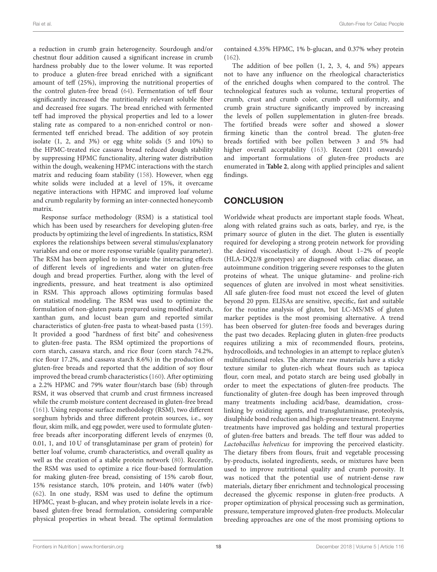a reduction in crumb grain heterogeneity. Sourdough and/or chestnut flour addition caused a significant increase in crumb hardness probably due to the lower volume. It was reported to produce a gluten-free bread enriched with a significant amount of teff (25%), improving the nutritional properties of the control gluten-free bread [\(64\)](#page-19-35). Fermentation of teff flour significantly increased the nutritionally relevant soluble fiber and decreased free sugars. The bread enriched with fermented teff had improved the physical properties and led to a lower staling rate as compared to a non-enriched control or nonfermented teff enriched bread. The addition of soy protein isolate (1, 2, and 3%) or egg white solids (5 and 10%) to the HPMC-treated rice cassava bread reduced dough stability by suppressing HPMC functionality, altering water distribution within the dough, weakening HPMC interactions with the starch matrix and reducing foam stability [\(158\)](#page-22-25). However, when egg white solids were included at a level of 15%, it overcame negative interactions with HPMC and improved loaf volume and crumb regularity by forming an inter-connected honeycomb matrix.

Response surface methodology (RSM) is a statistical tool which has been used by researchers for developing gluten-free products by optimizing the level of ingredients. In statistics, RSM explores the relationships between several stimulus/explanatory variables and one or more response variable (quality parameter). The RSM has been applied to investigate the interacting effects of different levels of ingredients and water on gluten-free dough and bread properties. Further, along with the level of ingredients, pressure, and heat treatment is also optimized in RSM. This approach allows optimizing formulas based on statistical modeling. The RSM was used to optimize the formulation of non-gluten pasta prepared using modified starch, xanthan gum, and locust bean gum and reported similar characteristics of gluten-free pasta to wheat-based pasta [\(159\)](#page-22-26). It provided a good "hardness of first bite" and cohesiveness to gluten-free pasta. The RSM optimized the proportions of corn starch, cassava starch, and rice flour (corn starch 74.2%, rice flour 17.2%, and cassava starch 8.6%) in the production of gluten-free breads and reported that the addition of soy flour improved the bread crumb characteristics [\(160\)](#page-22-27). After optimizing a 2.2% HPMC and 79% water flour/starch base (fsb) through RSM, it was observed that crumb and crust firmness increased while the crumb moisture content decreased in gluten-free bread [\(161\)](#page-22-28). Using response surface methodology (RSM), two different sorghum hybrids and three different protein sources, i.e., soy flour, skim milk, and egg powder, were used to formulate glutenfree breads after incorporating different levels of enzymes (0, 0.01, 1, and 10 U of transglutaminase per gram of protein) for better loaf volume, crumb characteristics, and overall quality as well as the creation of a stable protein network [\(80\)](#page-20-38). Recently, the RSM was used to optimize a rice flour-based formulation for making gluten-free bread, consisting of 15% carob flour, 15% resistance starch, 10% protein, and 140% water (fwb) [\(62\)](#page-19-12). In one study, RSM was used to define the optimum HPMC, yeast b-glucan, and whey protein isolate levels in a ricebased gluten-free bread formulation, considering comparable physical properties in wheat bread. The optimal formulation contained 4.35% HPMC, 1% b-glucan, and 0.37% whey protein [\(162\)](#page-22-29).

The addition of bee pollen (1, 2, 3, 4, and 5%) appears not to have any influence on the rheological characteristics of the enriched doughs when compared to the control. The technological features such as volume, textural properties of crumb, crust and crumb color, crumb cell uniformity, and crumb grain structure significantly improved by increasing the levels of pollen supplementation in gluten-free breads. The fortified breads were softer and showed a slower firming kinetic than the control bread. The gluten-free breads fortified with bee pollen between 3 and 5% had higher overall acceptability [\(163\)](#page-22-30). Recent (2011 onwards) and important formulations of gluten-free products are enumerated in **[Table 2](#page-6-0)**, along with applied principles and salient findings.

### **CONCLUSION**

Worldwide wheat products are important staple foods. Wheat, along with related grains such as oats, barley, and rye, is the primary source of gluten in the diet. The gluten is essentially required for developing a strong protein network for providing the desired viscoelasticity of dough. About 1–2% of people (HLA-DQ2/8 genotypes) are diagnosed with celiac disease, an autoimmune condition triggering severe responses to the gluten proteins of wheat. The unique glutamine- and proline-rich sequences of gluten are involved in most wheat sensitivities. All safe gluten-free food must not exceed the level of gluten beyond 20 ppm. ELISAs are sensitive, specific, fast and suitable for the routine analysis of gluten, but LC-MS/MS of gluten marker peptides is the most promising alternative. A trend has been observed for gluten-free foods and beverages during the past two decades. Replacing gluten in gluten-free products requires utilizing a mix of recommended flours, proteins, hydrocolloids, and technologies in an attempt to replace gluten's multifunctional roles. The alternate raw materials have a sticky texture similar to gluten-rich wheat flours such as tapioca flour, corn meal, and potato starch are being used globally in order to meet the expectations of gluten-free products. The functionality of gluten-free dough has been improved through many treatments including acid/base, deamidation, crosslinking by oxidizing agents, and transglutaminase, proteolysis, disulphide bond reduction and high-pressure treatment. Enzyme treatments have improved gas holding and textural properties of gluten-free batters and breads. The teff flour was added to Lactobacillus helveticus for improving the perceived elasticity. The dietary fibers from flours, fruit and vegetable processing by-products, isolated ingredients, seeds, or mixtures have been used to improve nutritional quality and crumb porosity. It was noticed that the potential use of nutrient-dense raw materials, dietary fiber enrichment and technological processing decreased the glycemic response in gluten-free products. A proper optimization of physical processing such as germination, pressure, temperature improved gluten-free products. Molecular breeding approaches are one of the most promising options to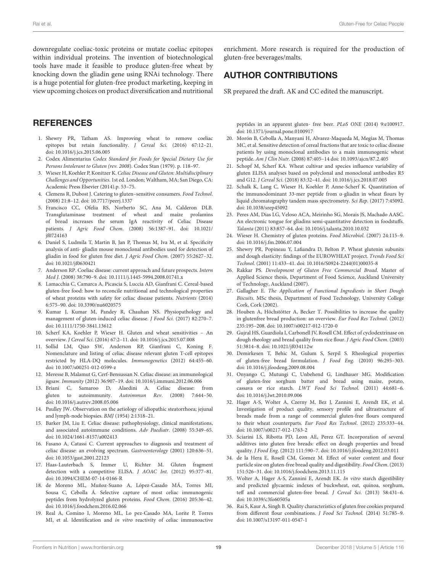downregulate coeliac-toxic proteins or mutate coeliac epitopes within individual proteins. The invention of biotechnological tools have made it feasible to produce gluten-free wheat by knocking down the gliadin gene using RNAi technology. There is a huge potential for gluten-free product marketing, keeping in view upcoming choices on product diversification and nutritional

### **REFERENCES**

- <span id="page-18-0"></span>1. Shewry PR, Tatham AS. Improving wheat to remove coeliac epitopes but retain functionality. J Cereal Sci. (2016) 67:12–21. doi: [10.1016/j.jcs.2015.06.005](https://doi.org/10.1016/j.jcs.2015.06.005)
- <span id="page-18-1"></span>2. Codex Alimentarius Codex Standard for Foods for Special Dietary Use for Persons Intolerant to Gluten (rev. 2008). Codex Stan (1979). p. 118–97.
- <span id="page-18-2"></span>3. Wieser H, Koehler P, Konitzer K. Celiac Disease and Gluten: Multidisciplinary Challenges and Opportunities. 1st ed. London; Waltham, MA; San Diego, CA: Academic Press Elsevier (2014).p. 53–75.
- <span id="page-18-3"></span>4. Clemens R, Dubost J. Catering to gluten–sensitive consumers. Food Technol. (2008) 21:8–12. doi: [10.7717/peerj.1337](https://doi.org/10.7717/peerj.1337)
- <span id="page-18-4"></span>5. Francisco CC, Ofelia RS, Norberto SC, Ana M, Calderon DLB. Transglutaminase treatment of wheat and maize prolamins of bread increases the serum IgA reactivity of Celiac Disease patients. J Agric Food Chem[. \(2008\) 56:1387–91. doi: 10.1021/](https://doi.org/10.1021/jf0724163) jf0724163
- <span id="page-18-5"></span>6. Daniel S, Ludmila T, Martin B, Jan P, Thomas M, Iva M, et al. Specificity analysis of anti- gliadin mouse monoclonal antibodies used for detection of gliadin in food for gluten free diet. J Agric Food Chem. (2007) 55:2627–32. doi: [10.1021/jf0630421](https://doi.org/10.1021/jf0630421)
- <span id="page-18-6"></span>7. Anderson RP. Coeliac disease: current approach and future prospects. Intern Med J. (2008) 38:790–9. doi: [10.1111/j.1445-5994.2008.01741.x](https://doi.org/10.1111/j.1445-5994.2008.01741.x)
- 8. Lamacchia C, Camarca A, Picascia S, Luccia AD, Gianfrani C. Cereal-based gluten-free food: how to reconcile nutritional and technological properties of wheat proteins with safety for celiac disease patients. Nutrients (2014) 6:575–90. doi: [10.3390/nu6020575](https://doi.org/10.3390/nu6020575)
- <span id="page-18-7"></span>9. Kumar J, Kumar M, Pandey R, Chauhan NS. Physiopathology and management of gluten-induced celiac disease. J Food Sci. (2017) 82:270–7. doi: [10.1111/1750-3841.13612](https://doi.org/10.1111/1750-3841.13612)
- <span id="page-18-8"></span>10. Scherf KA, Koehler P, Wieser H. Gluten and wheat sensitivities – An overview. J Cereal Sci. (2016) 67:2–11. doi: [10.1016/j.jcs.2015.07.008](https://doi.org/10.1016/j.jcs.2015.07.008)
- <span id="page-18-9"></span>11. Sollid LM, Qiao SW, Anderson RP, Gianfrani C, Koning F. Nomenclature and listing of celiac disease relevant gluten T-cell epitopes restricted by HLA-DQ molecules. Immunogenetics (2012) 64:455–60. doi: [10.1007/s00251-012-0599-z](https://doi.org/10.1007/s00251-012-0599-z)
- <span id="page-18-10"></span>12. Meresse B, Malamut G, Cerf-Bensussan N. Celiac disease: an immunological jigsaw. Immunity (2012) 36:907–19. doi: [10.1016/j.immuni.2012.06.006](https://doi.org/10.1016/j.immuni.2012.06.006)
- <span id="page-18-11"></span>13. Briani C, Samaroo D, Alaedini A. Celiac disease: from gluten to autoimmunity. Autoimmun Rev. (2008) 7:644–50. doi: [10.1016/j.autrev.2008.05.006](https://doi.org/10.1016/j.autrev.2008.05.006)
- <span id="page-18-12"></span>14. Paulley JW. Observation on the aetiology of idiopathic steatorrhoea; jejunal and lymph-node biopsies. BMJ (1954) 2:1318–21.
- <span id="page-18-13"></span>15. Barker JM, Liu E. Celiac disease: pathophysiology, clinical manifestations, and associated autoimmune conditions. Adv Paediatr. (2008) 55:349–65. doi: [10.1024/1661-8157/a002413](https://doi.org/10.1024/1661-8157/a002413)
- <span id="page-18-14"></span>16. Fasano A, Catassi C. Current approaches to diagnosis and treatment of celiac disease: an evolving spectrum. Gastroenterology (2001) 120:636–51. doi: [10.1053/gast.2001.22123](https://doi.org/10.1053/gast.2001.22123)
- <span id="page-18-15"></span>17. Haas-Lauterbach S, Immer U, Richter M. Gluten fragment detection with a competitive ELISA. J AOAC Int. (2012) 95:377–81. doi: [10.1094/CHEM-07-14-0166-R](https://doi.org/10.1094/CHEM-07-14-0166-R)
- <span id="page-18-16"></span>18. de Moreno ML, Muñoz-Suano A, López-Casado MÁ, Torres MI, Sousa C, Cebolla Á. Selective capture of most celiac immunogenic peptides from hydrolyzed gluten proteins. Food Chem. (2016) 205:36–42. doi: [10.1016/j.foodchem.2016.02.066](https://doi.org/10.1016/j.foodchem.2016.02.066)
- <span id="page-18-17"></span>19. Real A, Comino I, Moreno ML, Lo pez-Casado MA, Lorite P, Torres MI, et al. Identification and in vitro reactivity of celiac immunoactive

enrichment. More research is required for the production of gluten-free beverages/malts.

### AUTHOR CONTRIBUTIONS

SR prepared the draft. AK and CC edited the manuscript.

peptides in an apparent gluten- free beer. PLoS ONE (2014) 9:e100917. doi: [10.1371/journal.pone.0100917](https://doi.org/10.1371/journal.pone.0100917)

- <span id="page-18-18"></span>20. Morón B, Cebolla A, Manyani H, Alvarez-Maqueda M, Megías M, Thomas MC, et al. Sensitive detection of cereal fractions that are toxic to celiac disease patients by using monoclonal antibodies to a main immunogenic wheat peptide. Am J Clin Nutr. **(**2008) 87:405–14 doi: [10.1093/ajcn/87.2.405](https://doi.org/10.1093/ajcn/87.2.405)
- <span id="page-18-19"></span>21. Schopf M, Scherf KA. Wheat cultivar and species influence variability of gluten ELISA analyses based on polyclonal and monoclonal antibodies R5 and G12. J Cereal Sci. (2018) 83:32–41. doi: [10.1016/j.jcs.2018.07.005](https://doi.org/10.1016/j.jcs.2018.07.005)
- <span id="page-18-20"></span>22. Schalk K, Lang C, Wieser H, Koehler P, Anne-Scherf K. Quantitation of the immunodominant 33-mer peptide from α-gliadin in wheat flours by liquid chromatography tandem mass spectrometry. Sci Rep. (2017) 7:45092. doi: [10.1038/srep45092](https://doi.org/10.1038/srep45092)
- <span id="page-18-21"></span>23. Peres AM, Dias LG, Veloso ACA, Meirinho SG, Morais JS, Machado AASC. An electronic tongue for gliadins semi-quantitative detection in foodstuffs. Talanta (2011) 83:857–64. doi: [10.1016/j.talanta.2010.10.032](https://doi.org/10.1016/j.talanta.2010.10.032)
- <span id="page-18-22"></span>24. Wieser H. Chemistry of gluten proteins. Food Microbiol. (2007) 24:115–9. doi: [10.1016/j.fm.2006.07.004](https://doi.org/10.1016/j.fm.2006.07.004)
- <span id="page-18-23"></span>25. Shewry PR, Popineau Y, Lafiandra D, Belton P. Wheat glutenin subunits and dough elasticity: findings of the EUROWHEAT project. Trends Food Sci Technol. (2001) 11:433–41. doi: [10.1016/S0924-2244\(01\)00035-8](https://doi.org/10.1016/S0924-2244(01)00035-8)
- <span id="page-18-24"></span>26. Rakkar PS. Development of Gluten Free Commercial Bread. Master of Applied Science thesis, Department of Food Science, Auckland University of Technology, Auckland (2007).
- <span id="page-18-25"></span>27. Gallagher E. The Application of Functional Ingredients in Short Dough Biscuits. MSc thesis, Department of Food Technology, University College Cork, Cork (2002).
- <span id="page-18-26"></span>28. Houben A, Höchstötter A, Becker T. Possibilities to increase the quality in glutenfree bread production: an overview. Eur Food Res Technol. (2012) 235:195–208. doi: [10.1007/s00217-012-1720-0](https://doi.org/10.1007/s00217-012-1720-0)
- <span id="page-18-29"></span>29. Gujral HS, Guardiola I, Carbonell JV, Rosell CM. Effect of cyclodextrinase on dough rheology and bread quality from rice flour. J Agric Food Chem. (2003) 51:3814–8. doi: [10.1021/jf034112w](https://doi.org/10.1021/jf034112w)
- <span id="page-18-32"></span>30. Demirkesen T, Behic M, Gulum S, Serpil S. Rheological properties of gluten-free bread formulation. J Food Eng. (2010) 96:295–303. doi: [10.1016/j.jfoodeng.2009.08.004](https://doi.org/10.1016/j.jfoodeng.2009.08.004)
- <span id="page-18-27"></span>31. Onyango C, Mutungi C, Unbehend G, Lindhauer MG. Modification of gluten-free sorghum batter and bread using maize, potato, cassava or rice starch. LWT Food Sci Technol. (2011) 44:681–6. doi: [10.1016/j.lwt.2010.09.006](https://doi.org/10.1016/j.lwt.2010.09.006)
- <span id="page-18-30"></span>32. Hager A-S, Wolter A, Czerny M, Bez J, Zannini E, Arendt EK, et al. Investigation of product quality, sensory profile and ultrastructure of breads made from a range of commercial gluten-free flours compared to their wheat counterparts. Eur Food Res Technol. (2012) 235:333–44. doi: [10.1007/s00217-012-1763-2](https://doi.org/10.1007/s00217-012-1763-2)
- <span id="page-18-31"></span>33. Sciarini LS, Ribotta PD, Leon AE, Perez GT. Incorporation of several additives into gluten free breads: effect on dough properties and bread quality. J Food Eng. (2012) 111:590–7. doi: [10.1016/j.jfoodeng.2012.03.011](https://doi.org/10.1016/j.jfoodeng.2012.03.011)
- <span id="page-18-34"></span>34. de la Hera E, Rosell CM, Gomez M. Effect of water content and flour particle size on gluten-free bread quality and digestibility. Food Chem. (2013) 151:526–31. doi: [10.1016/j.foodchem.2013.11.115](https://doi.org/10.1016/j.foodchem.2013.11.115)
- <span id="page-18-33"></span>35. Wolter A, Hager A-S, Zannini E, Arendt EK. In vitro starch digestibility and predicted glycaemic indexes of buckwheat, oat, quinoa, sorghum, teff and commercial gluten-free bread. J Cereal Sci. (2013) 58:431–6. doi: [10.1039/c3fo60505a](https://doi.org/10.1039/c3fo60505a)
- <span id="page-18-28"></span>36. Rai S, Kaur A, Singh B. Quality characteristics of gluten free cookies prepared from different flour combinations. J Food Sci Technol. (2014) 51:785–9. doi: [10.1007/s13197-011-0547-1](https://doi.org/10.1007/s13197-011-0547-1)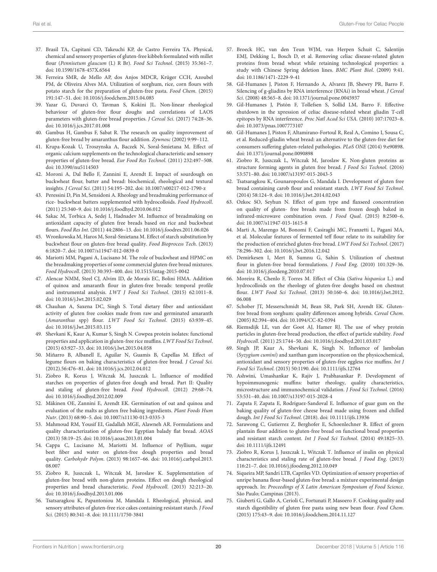- <span id="page-19-25"></span>37. Brasil TA, Capitani CD, Takeuchi KP, de Castro Ferreira TA. Physical, chemical and sensory properties of gluten-free kibbeh formulated with millet flour (Pennisetum glaucum (L) R Br). Food Sci Technol. (2015) 35:361–7. doi: [10.1590/1678-457X.6564](https://doi.org/10.1590/1678-457X.6564)
- <span id="page-19-4"></span>38. Ferreira SMR, de Mello AP, dos Anjos MDCR, Krüger CCH, Azoubel PM, de Oliveira Alves MA. Utilization of sorghum, rice, corn flours with potato starch for the preparation of gluten-free pasta. Food Chem. (2015) 191:147–51. doi: [10.1016/j.foodchem.2015.04.085](https://doi.org/10.1016/j.foodchem.2015.04.085)
- <span id="page-19-1"></span>39. Yazar G, Duvarci O, Tavman S, Kokini JL. Non-linear rheological behaviour of gluten-free flour doughs and correlations of LAOS parameters with gluten-free bread properties. J Cereal Sci. (2017) 74:28–36. doi: [10.1016/j.jcs.2017.01.008](https://doi.org/10.1016/j.jcs.2017.01.008)
- <span id="page-19-2"></span>40. Gambus H, Gambus F, Sabat R. The research on quality improvement of gluten-free bread by amaranthus flour addition. Zywnosc (2002) 9:99–112.
- <span id="page-19-5"></span>41. Krupa-Kozak U, Troszynska A, Baczek N, Soral-Smietana M. Effect of organic calcium supplements on the technological characteristic and sensory properties of gluten-free bread. Eur Food Res Technol. (2011) 232:497–508. doi: [10.3390/nu5114503](https://doi.org/10.3390/nu5114503)
- <span id="page-19-24"></span>42. Moroni A, Dal Bello F, Zannini E, Arendt E. Impact of sourdough on buckwheat flour, batter and bread: biochemical, rheological and textural insights. J Cereal Sci. (2011) 54:195–202. doi: [10.1007/s00217-012-1790-z](https://doi.org/10.1007/s00217-012-1790-z)
- <span id="page-19-15"></span>43. Peressini D, Pin M, Sensidoni A. Rheology and breadmaking performance of rice- buckwheat batters supplemented with hydrocolloids. Food Hydrocoll. (2011) 25:340–9. doi: [10.1016/j.foodhyd.2010.06.012](https://doi.org/10.1016/j.foodhyd.2010.06.012)
- <span id="page-19-28"></span>44. Sakac M, Torbica A, Sedej I, Hadnadev M. Influence of breadmaking on antioxidant capacity of gluten free breads based on rice and buckwheat flours. Food Res Int. (2011) 44:2806–13. doi: [10.1016/j.foodres.2011.06.026](https://doi.org/10.1016/j.foodres.2011.06.026)
- 45. Wronkowska M, Haros M, Soral-Smietana M. Effect of starch substitution by buckwheat flour on gluten-free bread quality. Food Bioprocess Tech. (2013) 6:1820–7. doi: [10.1007/s11947-012-0839-0](https://doi.org/10.1007/s11947-012-0839-0)
- <span id="page-19-6"></span>46. Mariotti MM, Pagani A, Lucisano M. The role of buckwheat and HPMC on the breadmaking properties of some commercial gluten-free bread mixtures. Food Hydrocoll. (2013) 30:393–400. doi: [10.1515/intag-2015-0042](https://doi.org/10.1515/intag-2015-0042)
- <span id="page-19-26"></span>47. Alencar NMM, Steel CJ, Alvim ID, de Morais EC, Bolini HMA. Addition of quinoa and amaranth flour in gluten-free breads: temporal profile and instrumental analysis. LWT J Food Sci Technol. (2015) 62:1011–8. doi: [10.1016/j.lwt.2015.02.029](https://doi.org/10.1016/j.lwt.2015.02.029)
- <span id="page-19-32"></span>48. Chauhan A, Saxena DC, Singh S. Total dietary fiber and antioxidant activity of gluten free cookies made from raw and germinated amaranth (Amaranthus spp) flour. LWT Food Sci Technol. (2015) 63:939–45. doi: [10.1016/j.lwt.2015.03.115](https://doi.org/10.1016/j.lwt.2015.03.115)
- <span id="page-19-3"></span>49. Shevkani K, Kaur A, Kumar S, Singh N. Cowpea protein isolates: functional properties and application in gluten-free rice muffins. LWT Food Sci Technol. (2015) 63:927–33. doi: [10.1016/j.lwt.2015.04.058](https://doi.org/10.1016/j.lwt.2015.04.058)
- <span id="page-19-7"></span>50. Miñarro B, Albanell E, Aguilar N, Guamis B, Capellas M. Effect of legume flours on baking characteristics of gluten-free bread. J Cereal Sci. (2012).56:476–81. doi: [10.1016/j.jcs.2012.04.012](https://doi.org/10.1016/j.jcs.2012.04.012)
- <span id="page-19-16"></span>51. Ziobro R, Korus J, Witczak M, Juszczak L. Influence of modified starches on properties of gluten-free dough and bread. Part II: Quality and staling of gluten-free bread. Food Hydrocoll. (2012) 29:68–74. doi: [10.1016/j.foodhyd.2012.02.009](https://doi.org/10.1016/j.foodhyd.2012.02.009)
- <span id="page-19-29"></span>52. Mäkinen OE, Zannini E, Arendt EK. Germination of oat and quinoa and evaluation of the malts as gluten free baking ingredients. Plant Foods Hum Nutr. (2013) 68:90–5. doi: [10.1007/s11130-013-0335-3](https://doi.org/10.1007/s11130-013-0335-3)
- <span id="page-19-17"></span>53. Mahmoud RM, Yousif EI, Gadallah MGE, Alawneh AR. Formulations and quality characterization of gluten-free Egyptian balady flat bread. AOAS (2013) 58:19–25. doi: [10.1016/j.aoas.2013.01.004](https://doi.org/10.1016/j.aoas.2013.01.004)
- <span id="page-19-20"></span>54. Cappa C, Lucisano M, Mariotti M. Influence of Psyllium, sugar beet fiber and water on gluten-free dough properties and bread quality. Carbohydr Polym[. \(2013\) 98:1657–66. doi: 10.1016/j.carbpol.2013.](https://doi.org/10.1016/j.carbpol.2013.08.007) 08.007
- <span id="page-19-11"></span>55. Ziobro R, Juszczak L, Witczak M, Jaroslaw K. Supplementation of gluten-free bread with non-gluten proteins. Effect on dough rheological properties and bread characteristic. Food Hydrocoll. (2013) 32:213–20. doi: [10.1016/j.foodhyd.2013.01.006](https://doi.org/10.1016/j.foodhyd.2013.01.006)
- <span id="page-19-8"></span>56. Tsatsaragkou K, Papantoniou M, Mandala I. Rheological, physical, and sensory attributes of gluten-free rice cakes containing resistant starch. J Food Sci. (2015) 80:341–8. doi: [10.1111/1750-3841](https://doi.org/10.1111/1750-3841)
- <span id="page-19-9"></span>57. Broeck HC, van den Teun WJM, van Herpen Schuit C, Salentijn EMJ, Dekking L, Bosch D, et al. Removing celiac disease-related gluten proteins from bread wheat while retaining technological properties: a study with Chinese Spring deletion lines. BMC Plant Biol. (2009) 9:41. doi: [10.1186/1471-2229-9-41](https://doi.org/10.1186/1471-2229-9-41)
- 58. Gil-Humanes J, Piston F, Hernando A, Alvarez JB, Shewry PR, Barro F. Silencing of g-gliadins by RNA interference (RNAi) in bread wheat. J Cereal Sci. (2008) 48:565–8. doi: [10.1371/journal.pone.0045937](https://doi.org/10.1371/journal.pone.0045937)
- <span id="page-19-34"></span>59. Gil-Humanes J, Pistón F, Tollefsen S, Sollid LM, Barro F. Effective shutdown in the xpression of celiac disease-related wheat gliadin T-cell epitopes by RNA interference. Proc Natl Acad Sci USA. (2010) 107:17023–8. doi: [10.1073/pnas.1007773107](https://doi.org/10.1073/pnas.1007773107)
- <span id="page-19-10"></span>60. Gil-Humanes J, Piston F, Altamirano-Fortoul R, Real A, Comino I, Sousa C, et al. Reduced-gliadin wheat bread: an alternative to the gluten-free diet for consumers suffering gluten-related pathologies. PLoS ONE (2014) 9:e90898. doi: [10.1371/journal.pone.0090898](https://doi.org/10.1371/journal. pone.0090898)
- <span id="page-19-0"></span>61. Ziobro R, Juszczak L, Witczak M, Jaroslaw K. Non-gluten proteins as structure forming agents in gluten free bread. J Food Sci Technol. (2016) 53:571–80. doi: [10.1007/s13197-015-2043-5](https://doi.org/10.1007/s13197-015-2043-5)
- <span id="page-19-12"></span>62. Tsatsaragkou K, Gounaropoulos G, Mandala I. Development of gluten free bread containing carob flour and resistant starch. LWT Food Sci Technol. (2014) 58:124–9. doi: [10.1016/j.lwt.2014.02.043](https://doi.org/10.1016/j.lwt.2014.02.043)
- <span id="page-19-13"></span>63. Ozkoc SO, Seyhun N. Effect of gum type and flaxseed concentration on quality of gluten- free breads made from frozen dough baked in infrared-microwave combination oven. J Food Qual. (2015) 8:2500–6. doi: [10.1007/s11947-015-1615-8](https://doi.org/10.1007/s11947-015-1615-8)
- <span id="page-19-35"></span>64. Marti A, Marengo M, Bonomi F, Casiraghi MC, Franzetti L, Pagani MA, et al. Molecular features of fermented teff flour relate to its suitability for the production of enriched gluten-free bread. LWT Food Sci Technol. (2017) 78:296–302. doi: [10.1016/j.lwt.2016.12.042](https://doi.org/10.1016/j.lwt.2016.12.042)
- 65. Demirkesen I, Mert B, Sumnu G, Sahin S. Utilization of chestnut flour in gluten-free bread formulations. J Food Eng. (2010) 101:329-36. doi: [10.1016/j.jfoodeng.2010.07.017](https://doi.org/10.1016/j.jfoodeng.2010.07.017)
- <span id="page-19-14"></span>66. Moreira R, Chenlo F, Torres M. Effect of Chia (Sativa hispanica L.) and hydrocolloids on the rheology of gluten-free doughs based on chestnut flour. LWT Food Sci Technol[. \(2013\) 50:160–6. doi: 10.1016/j.lwt.2012.](https://doi.org/10.1016/j.lwt.2012.06.008) 06.008
- <span id="page-19-18"></span>67. Schober JT, Messerschmidt M, Bean SR, Park SH, Arendt EK. Glutenfree bread from sorghum: quality differences among hybrids. Cereal Chem. (2005) 82:394–404. doi: [10.1094/CC-82-0394](https://doi.org/10.1094/CC-82-0394)
- <span id="page-19-27"></span>68. Riemsdijk LE, van der Goot AJ, Hamer RJ. The use of whey protein particles in gluten-free bread production, the effect of particle stability. Food Hydrocoll. (2011) 25:1744–50. doi: [10.1016/j.foodhyd.2011.03.017](https://doi.org/10.1016/j.foodhyd.2011.03.017)
- <span id="page-19-21"></span>69. Singh JP, Kaur A, Shevkani K, Singh N. Influence of Jambolan (Syzygium cumini) and xanthan gum incorporation on the physicochemical, antioxidant and sensory properties of gluten-free eggless rice muffins. Int J Food Sci Technol. (2015) 50:1190. doi: [10.1111/ijfs.12764](https://doi.org/10.1111/ijfs.12764)
- <span id="page-19-23"></span>70. Ashwini, Umashankar K, Rajiv J, Prabhasankar P. Development of hypoimmunogenic muffins: batter rheology, quality characteristics, microstructure and immunochemical validation. J Food Sci Technol. (2016) 53:531–40. doi: [10.1007/s13197-015-2028-4](https://doi.org/10.1007/s13197-015-2028-4)
- <span id="page-19-19"></span>71. Zapata F, Zapata E, Rodríguez-Sandoval E. Influence of guar gum on the baking quality of gluten-free cheese bread made using frozen and chilled dough. Int J Food Sci Technol. (2018). doi: [10.1111/ijfs.13936](https://doi.org/10.1111/ijfs.13936)
- <span id="page-19-22"></span>72. Sarawong C, Gutierrez Z, Berghofer E, Schoenlechner R. Effect of green plantain flour addition to gluten-free bread on functional bread properties and resistant starch content. Int J Food Sci Technol. (2014) 49:1825–33. doi: [10.1111/ijfs.12491](https://doi.org/10.1111/ijfs.12491)
- <span id="page-19-30"></span>73. Ziobro R, Korus J, Juszczak L, Witczak T. Influence of inulin on physical characteristics and staling rate of gluten-free bread. J Food Eng. (2013) 116:21–7. doi: [10.1016/j.jfoodeng.2012.10.049](https://doi.org/10.1016/j.jfoodeng.2012.10.049)
- <span id="page-19-31"></span>74. Siqueira MP, Sandri LTB, Capriles VD. Optimization of sensory properties of unripe banana flour-based gluten-free bread: a mixture experimental design approach. In: Proceedings of X Latin American Symposium of Food Science. São Paulo; Campinas (2013).
- <span id="page-19-33"></span>75. Giuberti G, Gallo A, Cerioli C, Fortunati P, Masoero F. Cooking quality and starch digestibility of gluten free pasta using new bean flour. Food Chem. (2015) 175:43–9. doi: [10.1016/j.foodchem.2014.11.127](https://doi.org/10.1016/j.foodchem.2014.11.127)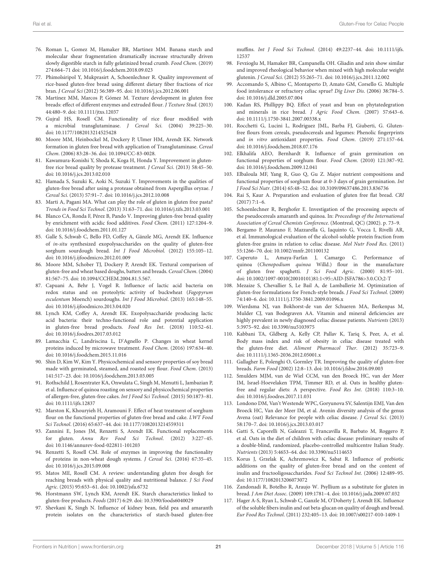- <span id="page-20-31"></span>76. Roman L, Gomez M, Hamaker BR, Martinez MM. Banana starch and molecular shear fragmentation dramatically increase structurally driven slowly digestible starch in fully gelatinized bread crumb. Food Chem. (2019) 274:664–71 doi: [10.1016/j.foodchem.2018.09.023](https://doi.org/10.1016/j.foodchem.2018.09.023)
- <span id="page-20-26"></span>77. Phimolsiripol Y, Mukprasirt A, Schoenlechner R. Quality improvement of rice-based gluten-free bread using different dietary fiber fractions of rice bran. J Cereal Sci (2012) 56:389–95. doi: [10.1016/j.jcs.2012.06.001](https://doi.org/10.1016/j.jcs.2012.06.001)
- <span id="page-20-5"></span>78. Martínez MM, Marcos P, Gómez M. Texture development in gluten free breads: effect of different enzymes and extruded flour. J Texture Stud. (2013) 44:480–9. doi: [10.1111/jtxs.12037](https://doi.org/10.1111/jtxs.12037)
- <span id="page-20-6"></span>79. Gujral HS, Rosell CM. Functionality of rice flour modified with a microbial transglutaminase. J Cereal Sci. (2004) 39:225–30. doi: [10.1177/1082013214525428](https://doi.org/10.1177/1082013214525428)
- <span id="page-20-38"></span>80. Moore MM, Heinbockel M, Dockery P, Ulmer HM, Arendt EK. Network formation in gluten free bread with application of Transglutaminase. Cereal Chem. (2006) 83:28–36. doi: [10.1094/CC-83-0028.](https://doi.org/10.1094/CC-83-0028.)
- <span id="page-20-28"></span>81. Kawamura-Konishi Y, Shoda K, Koga H, Honda Y. Improvement in glutenfree rice bread quality by protease treatment. J Cereal Sci. (2013) 58:45-50. doi: [10.1016/j.jcs.2013.02.010](https://doi.org/10.1016/j.jcs.2013.02.010)
- <span id="page-20-29"></span>82. Hamada S, Suzuki K, Aoki N, Suzuki Y. Improvements in the qualities of gluten-free bread after using a protease obtained from Aspergillus oryzae. J Cereal Sci. (2013) 57:91–7. doi: [10.1016/j.jcs.2012.10.008](https://doi.org/10.1016/j.jcs.2012.10.008)
- <span id="page-20-7"></span>83. Marti A, Pagani MA. What can play the role of gluten in gluten free pasta? Trends in Food Sci Technol. (2013) 31:63–71. doi: [10.1016/j.tifs.2013.03.001](https://doi.org/10.1016/j.tifs.2013.03.001)
- <span id="page-20-8"></span>84. Blanco CA, Ronda F, Pérez B, Pando V. Improving gluten-free bread quality by enrichment with acidic food additives. Food Chem. (2011) 127:1204–9. doi: [10.1016/j.foodchem.2011.01.127](https://doi.org/10.1016/j.foodchem.2011.01.127)
- <span id="page-20-27"></span>85. Galle S, Schwab C, Bello FD, Coffey A, Gänzle MG, Arendt EK. Influence of in-situ synthesized exopolysaccharides on the quality of gluten-free sorghum sourdough bread. Int J Food Microbiol. (2012) 155:105–12. doi: [10.1016/j.ijfoodmicro.2012.01.009](https://doi.org/10.1016/j.ijfoodmicro.2012.01.009)
- <span id="page-20-39"></span>86. Moore MM, Schober TJ, Dockery P, Arendt EK. Textural comparison of gluten-free and wheat based doughs, batters and breads. Cereal Chem. (2004) 81:567–75. doi: [10.1094/CCHEM.2004.81.5.567.](https://doi.org/10.1094/CCHEM.2004.81.5.567.)
- 87. Capuani A, Behr J, Vogel R. Influence of lactic acid bacteria on redox status and on proteolytic activity of buckwheat (Fagopyrum esculentum Moench) sourdoughs. Int J Food Microbiol. (2013) 165:148–55. doi: [10.1016/j.ijfoodmicro.2013.04.020](https://doi.org/10.1016/j.ijfoodmicro.2013.04.020)
- <span id="page-20-9"></span>88. Lynch KM, Coffey A, Arendt EK. Exopolysaccharide producing lactic acid bacteria: their techno-functional role and potential application in gluten-free bread products. Food Res Int. (2018) 110:52–61. doi: [10.1016/j.foodres.2017.03.012](https://doi.org/10.1016/j.foodres.2017.03.012)
- <span id="page-20-10"></span>89. Lamacchia C, Landriscina L, D'Agnello P. Changes in wheat kernel proteins induced by microwave treatment. Food Chem. (2016) 197:634–40. doi: [10.1016/j.foodchem.2015.11.016](https://doi.org/10.1016/j.foodchem.2015.11.016)
- 90. Shin D, Kim W, Kim Y. Physicochemical and sensory properties of soy bread made with germinated, steamed, and roasted soy flour. Food Chem. (2013) 141:517–23. doi: [10.1016/j.foodchem.2013.03.005](https://doi.org/10.1016/j.foodchem.2013.03.005)
- <span id="page-20-30"></span>91. Rothschild J, Rosentrater KA, Onwulata C, Singh M, Menutti L, Jambazian P, et al. Influence of quinoa roasting on sensory and physicochemical properties of allergen-free, gluten-free cakes. Int J Food Sci Technol. (2015) 50:1873–81. doi: [10.1111/ijfs.12837](https://doi.org/10.1111/ijfs.12837)
- <span id="page-20-11"></span>92. Marston K, Khouryieh H, Aramouni F. Effect of heat treatment of sorghum flour on the functional properties of gluten-free bread and cake. LWT Food Sci Technol. (2016) 65:637–44. doi: [10.1177/1082013214559311](https://doi.org/10.1177/1082013214559311)
- <span id="page-20-0"></span>93. Zannini E, Jones JM, Renzetti S, Arendt EK. Functional replacements for gluten. Annu Rev Food Sci Technol. (2012) 3:227–45. doi: [10.1146/annurev-food-022811-101203](https://doi.org/10.1146/annurev-food-022811-101203)
- <span id="page-20-1"></span>94. Renzetti S, Rosell CM. Role of enzymes in improving the functionality of proteins in non-wheat dough systems. J Cereal Sci. (2016) 67:35–45. doi: [10.1016/j.jcs.2015.09.008](https://doi.org/10.1016/j.jcs.2015.09.008)
- <span id="page-20-2"></span>95. Matos ME, Rosell CM. A review: understanding gluten free dough for reaching breads with physical quality and nutritional balance. J Sci Food Agric. (2015) 95:653–61. doi: [10.1002/jsfa.6732](https://doi.org/10.1002/jsfa.6732)
- <span id="page-20-3"></span>96. Horstmann SW, Lynch KM, Arendt EK. Starch characteristics linked to gluten-free products. Foods (2017) 6:29. doi: [10.3390/foods6040029](https://doi.org/10.3390/foods6040029)
- <span id="page-20-4"></span>97. Shevkani K, Singh N. Influence of kidney bean, field pea and amaranth protein isolates on the characteristics of starch-based gluten-free

muffins. Int J Food Sci Technol[. \(2014\) 49:2237–44. doi: 10.1111/ijfs.](https://doi.org/10.1111/ijfs.12537) 12537

- <span id="page-20-12"></span>98. Fevzioglu M, Hamaker BR, Campanella OH. Gliadin and zein show similar and improved rheological behavior when mixed with high molecular weight glutenin. J Cereal Sci. (2012) 55:265–71. doi: [10.1016/j.jcs.2011.12.002](https://doi.org/10.1016/j.jcs.2011.12.002)
- <span id="page-20-13"></span>99. Accomando S, Albino C, Montaperto D, Amato GM, Corsello G. Multiple food intolerance or refractory celiac sprue? Dig Liver Dis. (2006) 38:784–5. doi: [10.1016/j.dld.2005.07.004](https://doi.org/10.1016/j.dld.2005.07.004)
- <span id="page-20-14"></span>100. Kadan RS, Phillippy BQ. Effect of yeast and bran on phytatedegration and minerals in rice bread. J Agric Food Chem. (2007) 57:643–6. doi: [10.1111/j.1750-3841.2007.00338.x](https://doi.org/10.1111/j.1750-3841.2007.00338.x)
- <span id="page-20-15"></span>101. Rocchetti G, Lucini L, Rodriguez JML, Barba FJ, Giuberti, G. Glutenfree flours from cereals, pseudocereals and legumes: Phenolic fingerprints and in vitro antioxidant properties. Food Chem. (2019) 271:157–64. doi: [10.1016/j.foodchem.2018.07.176](https://doi.org/10.1016/j.foodchem.2018.07.176)
- <span id="page-20-16"></span>102. Elkhalifa AEO, Bernhardt R. Influence of grain germination on functional properties of sorghum flour. Food Chem. (2010) 121:387–92. doi: [10.1016/j.foodchem.2009.12.041](https://doi.org/10.1016/j.foodchem.2009.12.041)
- <span id="page-20-17"></span>103. Elbaloula MF, Yang R, Guo Q, Gu Z. Major nutrient compositions and functional properties of sorghum flour at 0-3 days of grain germination. Int J Food Sci Nutr. (2014) 65:48–52. doi: [10.3109/09637486.2013.836736](https://doi.org/10.3109/09637486.2013.836736)
- <span id="page-20-18"></span>104. Rai S, Kaur A. Preparation and evaluation of gluten free flat bread. CRI (2017) 7:1–6.
- <span id="page-20-19"></span>105. Schoenlechner R, Berghofer E. Investigation of the processing aspects of the pseudocereals amaranth and quinoa. In: Proceedings of the International Association of Cereal Chemists Conference. (Montreal, QC) (2002). p. 73–9.
- <span id="page-20-20"></span>106. Bergamo P, Maurano F, Mazzarella G, Iaquinto G, Vocca I, Rivelli AR, et al. Immunological evaluation of the alcohol-soluble protein fraction from gluten-free grains in relation to celiac disease. Mol Nutr Food Res. (2011) 55:1266–70. doi: [10.1002/mnfr.201100132](https://doi.org/10.1002/mnfr.201100132)
- <span id="page-20-21"></span>107. Caperuto L, Amaya-Farfan J, Camargo C. Performance of quinoa (Chenopodium quinoa Willd.) flour in the manufacture of gluten free spaghetti. J Sci Food Agric. (2000) 81:95–101. doi: [10.1002/1097-0010\(20010101\)81:1<95::AID-JSFA786>3.0.CO;2-T](https://doi.org/10.1002/1097-0010(20010101)81:1<95::AID-JSFA786>3.0.CO;2-T)
- <span id="page-20-22"></span>108. Mezaize S, Chevallier S, Le Bail A, de Lamballerie M. Optimization of gluten-free formulations for French-style breads. J Food Sci Technol. (2009) 74:140–6. doi: [10.1111/j.1750-3841.2009.01096.x](https://doi.org/10.1111/j.1750-3841.2009.01096.x)
- <span id="page-20-23"></span>109. Wierdsma NJ, van Bokhorst-de van der Schueren MA, Berkenpas M, Mulder CJ, van Bodegraven AA. Vitamin and mineral deficiencies are highly prevalent in newly diagnosed celiac disease patients. Nutrients (2013) 5:3975–92. doi: [10.3390/nu5103975](https://doi.org/10.3390/nu5103975)
- <span id="page-20-24"></span>110. Kabbani TA, Gldberg A, Kelly CP, Pallav K, Tariq S, Peer, A, et al. Body mass index and risk of obesity in celiac disease treated with the gluten-free diet. Aliment Pharmacol Ther. (2012) 35:723–9. doi: [10.1111/j.1365-2036.2012.05001.x](https://doi.org/10.1111/j.1365-2036.2012.05001.x)
- <span id="page-20-25"></span>111. Gallagher E, Polenghi O, Gormley TR. Improving the quality of gluten-free breads. Farm Food (2002) 12:8–13. doi: [10.1016/j.fshw.2016.09.003](https://doi.org/10.1016/j.fshw.2016.09.003)
- <span id="page-20-32"></span>112. Smulders MJM, van de Wiel CCM, van den Broeck HC, van der Meer IM, Israel-Hoevelaken TPM, Timmer RD, et al. Oats in healthy glutenfree and regular diets: A perspective. Food Res Int. (2018) 110:3–10. doi: [10.1016/j.foodres.2017.11.031](https://doi.org/10.1016/j.foodres.2017.11.031)
- <span id="page-20-33"></span>113. Londono DM, Van't Westende WPC, Goryunova SV, Salentijn EMJ, Van den Broeck HC, Van der Meer IM, et al. Avenin diversity analysis of the genus Avena (oat) Relevance for people with celiac disease. J Cereal Sci. (2013) 58:170–7. doi: [10.1016/j.jcs.2013.03.017](https://doi.org/10.1016/j.jcs.2013.03.017)
- <span id="page-20-34"></span>114. Gatti S, Caporelli N, Galeazzi T, Francavilla R, Barbato M, Roggero P, et al. Oats in the diet of children with celiac disease: preliminary results of a double-blind, randomized, placebo-controlled multicentre Italian Study. Nutrients (2013) 5:4653–64. doi: [10.3390/nu5114653](https://doi.org/10.3390/nu5114653)
- <span id="page-20-35"></span>115. Korus J, Grzelak K, Achremowicz K, Sabat R. Influence of prebiotic additions on the quality of gluten-free bread and on the content of inulin and fructooligosaccharides. Food Sci Technol Int. (2006) 12:489–95. doi: [10.1177/1082013206073072](https://doi.org/10.1177/1082013206073072)
- <span id="page-20-36"></span>116. Zandonadi R, Botelho R, Araujo W. Psyllium as a substitute for gluten in bread. J Am Diet Assoc. (2009) 109:1781–4. doi: [10.1016/j.jada.2009.07.032](https://doi.org/10.1016/j.jada.2009.07.032)
- <span id="page-20-37"></span>117. Hager A-S, Ryan L, Schwab C, Ganzle M, O'Doherty J, Arendt EK. Influence of the soluble fibers inulin and oat beta-glucan on quality of dough and bread. Eur Food Res Technol. (2011) 232:405–13. doi: [10.1007/s00217-010-1409-1](https://doi.org/10.1007/s00217-010-1409-1)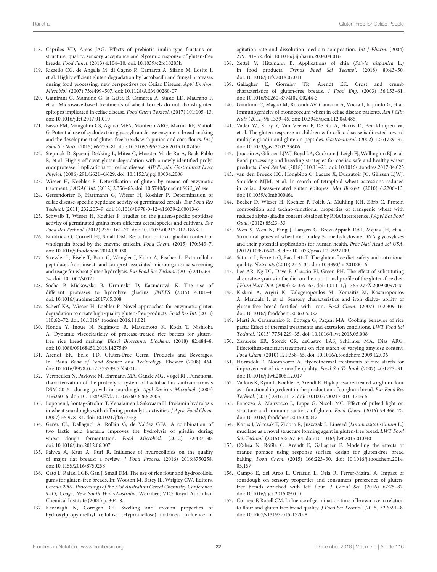- <span id="page-21-1"></span>118. Capriles VD, Areas JAG. Effects of prebiotic inulin-type fructans on structure, quality, sensory acceptance and glycemic response of gluten-free breads. Food Funct. (2013) 4:104–10. doi: [10.1039/c2fo10283h](https://doi.org/10.1039/c2fo10283h)
- <span id="page-21-2"></span>119. Rizzello CG, de Angelis M, di Cagno R, Camarca A, Silano M, Losito I, et al. Highly efficient gluten degradation by lactobacilli and fungal proteases during food processing: new perspectives for Celiac Disease. Appl Environ Microbiol. (2007) 73:4499–507. doi: [10.1128/AEM.00260-07](https://doi.org/10.1128/AEM.00260-07)
- <span id="page-21-3"></span>120. Gianfrani C, Mamone G, la Gatta B, Camarca A, Stasio LD, Maurano F, et al. Microwave-based treatments of wheat kernels do not abolish gluten epitopes implicated in celiac disease. Food Chem Toxicol. (2017) 101:105–13. doi: [10.1016/j.fct.2017.01.010](https://doi.org/10.1016/j.fct.2017.01.010)
- <span id="page-21-4"></span>121. Basso FM, Mangolim CS, Aguiar MFA, Monteiro ARG, Marina RP, Matioli G. Potential use of cyclodextrin-glycosyltransferase enzyme in bread-making and the development of gluten-free breads with pinion and corn flours. Int J Food Sci Nutr. (2015) 66:275–81. doi: [10.3109/09637486.2015.1007450](https://doi.org/10.3109/09637486.2015.1007450)
- <span id="page-21-5"></span>122. Stepniak D, Spaenij-Dekking L, Mitea C, Moester M, de Ru A, Baak-Pablo R, et al. Highly efficient gluten degradation with a newly identified prolyl endoprotease: implications for celiac disease. AJP Physiol Gastrointest Liver Physiol. (2006) 291:G621–G629. doi: [10.1152/ajpgi.00034.2006](https://doi.org/10.1152/ajpgi.00034.2006)
- <span id="page-21-6"></span>123. Wieser H, Koehler P. Detoxification of gluten by means of enzymatic treatment. J AOAC Int. (2012) 2:356–63. doi: [10.5740/jaoacint.SGE\\_Wieser](https://doi.org/10.5740/jaoacint.SGE_Wieser)
- <span id="page-21-7"></span>124. Gessendorfer B, Hartmann G, Wieser H, Koehler P. Determination of celiac disease-specific peptidase activity of germinated cereals. Eur Food Res Technol. (2011) 232:205–9. doi: [10.1016/B978-0-12-416039-2.00013-6](https://doi.org/10.1016/B978-0-12-416039-2.00013-6)
- <span id="page-21-8"></span>125. Schwalb T, Wieser H, Koehler P. Studies on the gluten-specific peptidase activity of germinated grains from different cereal species and cultivars. Eur Food Res Technol. (2012) 235:1161–70. doi: [10.1007/s00217-012-1853-1](https://doi.org/10.1007/s00217-012-1853-1)
- <span id="page-21-9"></span>126. Buddrick O, Cornell HJ, Small DM. Reduction of toxic gliadin content of wholegrain bread by the enzyme caricain. Food Chem. (2015) 170:343–7. doi: [10.1016/j.foodchem.2014.08.030](https://doi.org/10.1016/j.foodchem.2014.08.030)
- <span id="page-21-10"></span>127. Stressler L, Eisele T, Baur C, Wangler J, Kuhn A, Fischer L. Extracellular peptidases from insect- and compost-associated microorganisms: screening and usage for wheat gluten hydrolysis. Eur Food Res Technol. (2015) 241:263– 74. doi: [10.1007/s0021](https://doi.org/10.1007/s0021)
- <span id="page-21-11"></span>128. Socha P, Mickowska B, Urminská D, Kacmárová, K. The use of different proteases to hydrolyze gliadins. JMBFS (2015) 4:101–4. doi: [10.1016/j.molmet.2017.05.008](https://doi.org/10.1016/j.molmet.2017.05.008)
- <span id="page-21-12"></span>129. Scherf KA, Wieser H, Loehler P. Novel approaches for enzymatic gluten degradation to create high-quality gluten-free products. Food Res Int. (2018) 110:62–72. doi: [10.1016/j.foodres.2016.11.021](https://doi.org/10.1016/j.foodres.2016.11.021)
- <span id="page-21-13"></span>130. Honda Y, Inoue N, Sugimoto R, Matsumoto K, Koda T, Nishioka A. Dynamic viscoelasticity of protease-treated rice batters for glutenfree rice bread making. Biosci Biotechnol Biochem. (2018) 82:484–8. doi: [10.1080/09168451.2018.1427549](https://doi.org/10.1080/09168451.2018.1427549)
- <span id="page-21-14"></span>131. Arendt EK, Bello FD. Gluten-Free Cereal Products and Beverages. In: Hand Book of Food Science and Technology. Elsevier (2008) 464. doi: [10.1016/B978-0-12-373739-7.X5001-1](https://doi.org/10.1016/B978-0-12-373739-7.X5001-1)
- <span id="page-21-15"></span>132. Vermeulen N, Pavlovic M, Ehrmann MA, Gänzle MG, Vogel RF. Functional characterization of the proteolytic system of Lactobacillus sanfranciscensis DSM 20451 during growth in sourdough. Appl Environ Microbiol. (2005) 71:6260–6. doi: [10.1128/AEM.71.10.6260-6266.2005](https://doi.org/10.1128/AEM.71.10.6260-6266.2005)
- <span id="page-21-16"></span>133. Loponen J, Sontag-Strohm T, Venäläinen J, Salovaara H. Prolamin hydrolysis in wheat sourdoughs with differing proteolytic activities. J Agric Food Chem. (2007) 55:978–84. doi: [10.1021/jf062755g](https://doi.org/10.1021/jf062755g)
- <span id="page-21-17"></span>134. Gerez CL, Dallagnol A, Rollán G, de Valdez GFA. A combination of two lactic acid bacteria improves the hydrolysis of gliadin during wheat dough fermentation. Food Microbiol. (2012) 32:427–30. doi: [10.1016/j.fm.2012.06.007](https://doi.org/10.1016/j.fm.2012.06.007)
- <span id="page-21-18"></span>135. Pahwa A, Kaur A, Puri R. Influence of hydrocolloids on the quality of major flat breads: a review. J Food Process. (2016) 2016:8750258. doi: [10.1155/2016/8750258](https://doi.org/10.1155/2016/8750258)
- <span id="page-21-19"></span>136. Cato L, Rafael LGB, Gan J, Small DM. The use of rice flour and hydrocolloid gums for gluten-free breads. In: Wooton M, Batey IL, Wrigley CW. Editors. Cereals 2001. Proceedings of the 51st Australian Cereal Chemistry Conference, 9–13, Cooge, New South WalesAustralia. Werribee, VIC: Royal Australian Chemical Institute (2001) p. 304–8.
- <span id="page-21-20"></span>137. Kavanagh N, Corrigan OI. Swelling and erosion properties of hydroxylpropylmethyl cellulose (Hypromellose) matrices- Influence of

agitation rate and dissolution medium composition. Int J Pharm. (2004) 279:141–52. doi: [10.1016/j.ijpharm.2004.04.016](https://doi.org/10.1016/j.ijpharm.2004.04.016)

- <span id="page-21-21"></span>138. Zettel V, Hitzmann B. Applications of chia (Salvia hispanica L.) in food products. Trends Food Sci Technol. (2018) 80:43–50. doi: [10.1016/j.tifs.2018.07.011](https://doi.org/10.1016/j.tifs.2018.07.011)
- <span id="page-21-22"></span>139. Gallagher E, Gormley TR, Arendt EK. Crust and crumb characteristics of gluten-free breads. J Food Eng. (2003) 56:153–61. doi: [10.1016/S0260-8774\(02\)00244-3](https://doi.org/10.1016/S0260-8774(02)00244-3)
- <span id="page-21-23"></span>140. Gianfrani C, Maglio M, Rotondi AV, Camarca A, Vocca I, Iaquinto G, et al. Immunogenicity of monococcum wheat in celiac disease patients. Am J Clin Nutr (2012) 96:1339–45. doi: [10.3945/ajcn.112.040485](https://doi.org/10.3945/ajcn.112.040485)
- <span id="page-21-24"></span>141. Vader W, Kooy Y, Van Veelen P, De Ru A, Harris D, Benckhuijsen W, et al. The gluten response in children with celiac disease is directed toward multiple gliadin and glutenin peptides. Gastroenterol. (2002) 122:1729–37. doi: [10.1053/gast.2002.33606](https://doi.org/10.1053/gast.2002.33606)
- <span id="page-21-25"></span>142. Jouanin A, Gilissen LJWJ, Boyd LA, Cockram J, Leigh FJ, Wallington EJ, et al. Food processing and breeding strategies for coeliac-safe and healthy wheat products. Food Res Int. (2018) 110:11–21. doi: [10.1016/j.foodres.2017.04.025](https://doi.org/10.1016/j.foodres.2017.04.025)
- <span id="page-21-26"></span>143. van den Broeck HC, Hongbing C, Lacaze X, Dusautoir JC, Gilissen LJWJ, Smulders MJM, et al. In search of tetraploid wheat accessions reduced in celiac disease-related gluten epitopes. Mol BioSyst. (2010) 6:2206–13. doi: [10.1039/c0mb00046a](https://doi.org/10.1039/c0mb00046a)
- <span id="page-21-27"></span>144. Becker D, Wieser H, Koehler P, Folck A, Mühling KH, Zörb C. Protein composition and techno-functional properties of transgenic wheat with reduced alpha-gliadin content obtained by RNA interference. J Appl Bot Food Qual. (2012) 85:23–33.
- <span id="page-21-28"></span>145. Wen S, Wen N, Pang J, Langen G, Brew-Appiah RAT, Mejias JH, et al. Structural genes of wheat and barley 5- methylcytosine DNA glycosylases and their potential applications for human health. Proc Natl Acad Sci USA. (2012) 109:20543–8. doi: [10.1073/pnas.1217927109.](https://doi.org/10.1073/pnas.1217927109.)
- <span id="page-21-29"></span>146. Saturni L, Ferretti G, Bacchetti T. The gluten-free diet: safety and nutritional quality. Nutrients (2010) 2:16–34. doi: [10.3390/nu20100016](https://doi.org/10.3390/nu20100016)
- <span id="page-21-30"></span>147. Lee AR, Ng DL, Dave E, Ciaccio EJ, Green PH. The effect of substituting alternative grains in the diet on the nutritional profile of the gluten-free diet. J Hum Nutr Diet. (2009) 22:359–63. doi: [10.1111/j.1365-277X.2009.00970.x](https://doi.org/10.1111/j.1365-277X.2009.00970.x)
- <span id="page-21-31"></span>148. Kiskini A, Argiri K, Kalogeropoulos M, Komaitis M, Kostaropoulos A, Mandala I, et al. Sensory characteristics and iron dialyz- ability of gluten-free bread fortified with iron. Food Chem. (2007) 102:309–16. doi: [10.1016/j.foodchem.2006.05.022](https://doi.org/10.1016/j.foodchem.2006.05.022)
- <span id="page-21-32"></span>149. Marti A, Caramanico R, Bottega G, Pagani MA. Cooking behavior of rice pasta: Effect of thermal treatments and extrusion conditions. LWT Food Sci Technol. (2013) 7754:229–35. doi: [10.1016/j.lwt.2013.05.008](https://doi.org/10.1016/j.lwt.2013.05.008)
- <span id="page-21-33"></span>150. Zavareze ER, Storck CR, deCastro LAS, Schirmer MA, Dias ARG. Effectofheat-moisturetreatment on rice starch of varying amylose content. Food Chem. (2010) 121:358–65. doi: [10.1016/j.foodchem.2009.12.036](https://doi.org/10.1016/j.foodchem.2009.12.036)
- <span id="page-21-34"></span>151. Hormdok R, Noomhorm A. Hydrothermal treatments of rice starch for improvement of rice noodle quality. Food Sci Technol. (2007) 40:1723–31. doi: [10.1016/j.lwt.2006.12.017](https://doi.org/10.1016/j.lwt.2006.12.017)
- <span id="page-21-35"></span>152. Vallons K, Ryan L, Koehler P, Arendt E. High pressure-treated sorghum flour as a functional ingredient in the production of sorghum bread. Eur Food Res Technol. (2010) 231:711–7. doi: [10.1007/s00217-010-1316-5](https://doi.org/10.1007/s00217-010-1316-5)
- <span id="page-21-36"></span>153. Panozzo A, Manzocco L, Lippe G, Nicoli MC. Effect of pulsed light on structure and immunoreactivity of gluten. Food Chem. (2016) 94:366–72. doi: [10.1016/j.foodchem.2015.08.042](https://doi.org/10.1016/j.foodchem.2015.08.042)
- <span id="page-21-37"></span>154. Korus J, Witczak T, Ziobro R, Juszczak L. Linseed (Linum usitatissimum L.) mucilage as a novel structure forming agent in gluten-free bread. LWT Food Sci. Technol. (2015) 62:257–64. doi: [10.1016/j.lwt.2015.01.040](https://doi.org/10.1016/j.lwt.2015.01.040)
- <span id="page-21-38"></span>155. O'Shea N, Rößle C, Arendt E, Gallagher E. Modelling the effects of orange pomace using response surface design for gluten-free bread baking. Food Chem[. \(2015\) 166:223–30. doi: 10.1016/j.foodchem.2014.](https://doi.org/10.1016/j.foodchem.2014.05.157) 05.157
- <span id="page-21-39"></span>156. Campo E, del Arco L, Urtasun L, Oria R, Ferrer-Mairal A. Impact of sourdough on sensory properties and consumers' preference of glutenfree breads enriched with teff flour. J Cereal Sci. (2016) 67:75–82. doi: [10.1016/j.jcs.2015.09.010](https://doi.org/10.1016/j.jcs.2015.09.010)
- <span id="page-21-0"></span>157. Cornejo F, Rosell CM. Influence of germination time of brown rice in relation to flour and gluten free bread quality. J Food Sci Technol. (2015) 52:6591–8. doi: [10.1007/s13197-015-1720-8](https://doi.org/10.1007/s13197-015-1720-8)